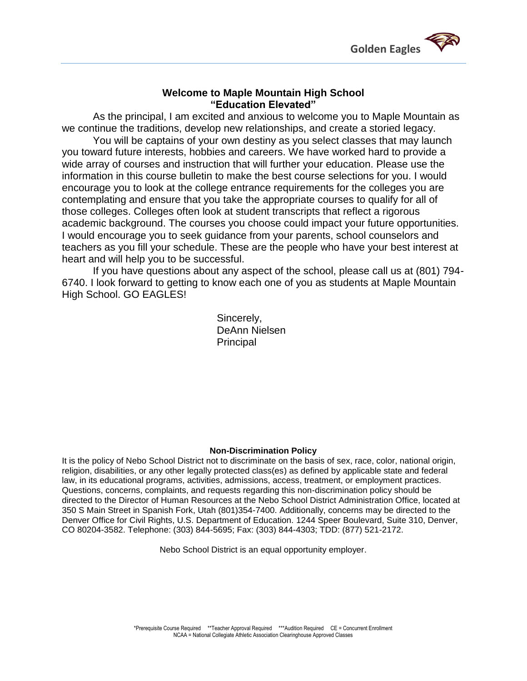

### **Welcome to Maple Mountain High School "Education Elevated"**

As the principal, I am excited and anxious to welcome you to Maple Mountain as we continue the traditions, develop new relationships, and create a storied legacy.

You will be captains of your own destiny as you select classes that may launch you toward future interests, hobbies and careers. We have worked hard to provide a wide array of courses and instruction that will further your education. Please use the information in this course bulletin to make the best course selections for you. I would encourage you to look at the college entrance requirements for the colleges you are contemplating and ensure that you take the appropriate courses to qualify for all of those colleges. Colleges often look at student transcripts that reflect a rigorous academic background. The courses you choose could impact your future opportunities. I would encourage you to seek guidance from your parents, school counselors and teachers as you fill your schedule. These are the people who have your best interest at heart and will help you to be successful.

If you have questions about any aspect of the school, please call us at (801) 794- 6740. I look forward to getting to know each one of you as students at Maple Mountain High School. GO EAGLES!

> Sincerely, DeAnn Nielsen **Principal**

### **Non-Discrimination Policy**

It is the policy of Nebo School District not to discriminate on the basis of sex, race, color, national origin, religion, disabilities, or any other legally protected class(es) as defined by applicable state and federal law, in its educational programs, activities, admissions, access, treatment, or employment practices. Questions, concerns, complaints, and requests regarding this non-discrimination policy should be directed to the Director of Human Resources at the Nebo School District Administration Office, located at 350 S Main Street in Spanish Fork, Utah (801)354-7400. Additionally, concerns may be directed to the Denver Office for Civil Rights, U.S. Department of Education. 1244 Speer Boulevard, Suite 310, Denver, CO 80204-3582. Telephone: (303) 844-5695; Fax: (303) 844-4303; TDD: (877) 521-2172.

Nebo School District is an equal opportunity employer.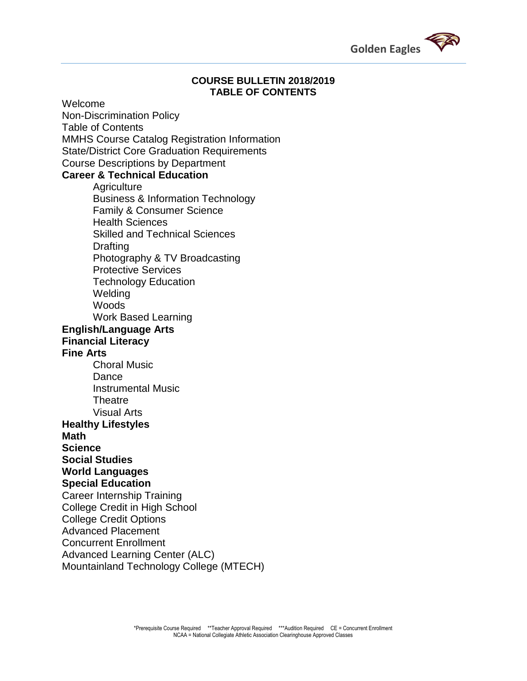

### **COURSE BULLETIN 2018/2019 TABLE OF CONTENTS**

Welcome Non-Discrimination Policy Table of Contents MMHS Course Catalog Registration Information State/District Core Graduation Requirements Course Descriptions by Department

### **Career & Technical Education**

**Agriculture** Business & Information Technology Family & Consumer Science Health Sciences Skilled and Technical Sciences **Drafting** Photography & TV Broadcasting Protective Services Technology Education Welding **Woods** Work Based Learning **English/Language Arts Financial Literacy Fine Arts**  Choral Music Dance Instrumental Music Theatre Visual Arts **Healthy Lifestyles Math Science Social Studies World Languages Special Education**  Career Internship Training College Credit in High School College Credit Options Advanced Placement Concurrent Enrollment Advanced Learning Center (ALC)

Mountainland Technology College (MTECH)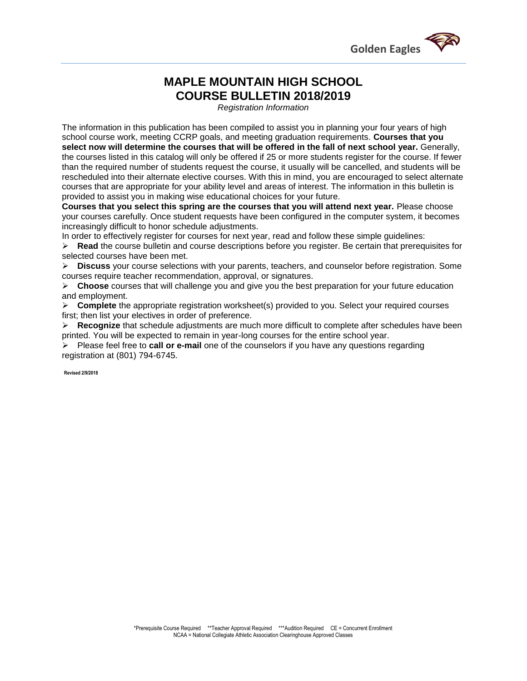

### **MAPLE MOUNTAIN HIGH SCHOOL COURSE BULLETIN 2018/2019**

*Registration Information*

The information in this publication has been compiled to assist you in planning your four years of high school course work, meeting CCRP goals, and meeting graduation requirements. **Courses that you select now will determine the courses that will be offered in the fall of next school year.** Generally, the courses listed in this catalog will only be offered if 25 or more students register for the course. If fewer than the required number of students request the course, it usually will be cancelled, and students will be rescheduled into their alternate elective courses. With this in mind, you are encouraged to select alternate courses that are appropriate for your ability level and areas of interest. The information in this bulletin is provided to assist you in making wise educational choices for your future.

**Courses that you select this spring are the courses that you will attend next year.** Please choose your courses carefully. Once student requests have been configured in the computer system, it becomes increasingly difficult to honor schedule adjustments.

In order to effectively register for courses for next year, read and follow these simple guidelines:

 **Read** the course bulletin and course descriptions before you register. Be certain that prerequisites for selected courses have been met.

 **Discuss** your course selections with your parents, teachers, and counselor before registration. Some courses require teacher recommendation, approval, or signatures.

 **Choose** courses that will challenge you and give you the best preparation for your future education and employment.

 **Complete** the appropriate registration worksheet(s) provided to you. Select your required courses first; then list your electives in order of preference.

 **Recognize** that schedule adjustments are much more difficult to complete after schedules have been printed. You will be expected to remain in year-long courses for the entire school year.

 Please feel free to **call or e-mail** one of the counselors if you have any questions regarding registration at (801) 794-6745.

**Revised 2/9/2018**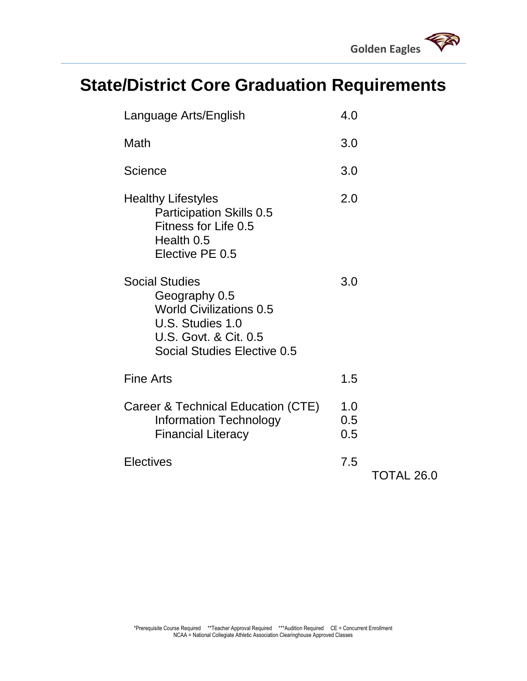# **State/District Core Graduation Requirements**

| Language Arts/English                                                                                                                                           | 4.0               |            |
|-----------------------------------------------------------------------------------------------------------------------------------------------------------------|-------------------|------------|
| Math                                                                                                                                                            | 3.0               |            |
| Science                                                                                                                                                         | 3.0               |            |
| <b>Healthy Lifestyles</b><br><b>Participation Skills 0.5</b><br>Fitness for Life 0.5<br>Health 0.5<br>Elective PE 0.5                                           | 2.0               |            |
| <b>Social Studies</b><br>Geography 0.5<br><b>World Civilizations 0.5</b><br>U.S. Studies 1.0<br><b>U.S. Govt. &amp; Cit. 0.5</b><br>Social Studies Elective 0.5 | 3.0               |            |
| <b>Fine Arts</b>                                                                                                                                                | 1.5               |            |
| Career & Technical Education (CTE)<br><b>Information Technology</b><br><b>Financial Literacy</b>                                                                | 1.0<br>0.5<br>0.5 |            |
| <b>Electives</b>                                                                                                                                                | 7.5               | TOTAL 26.0 |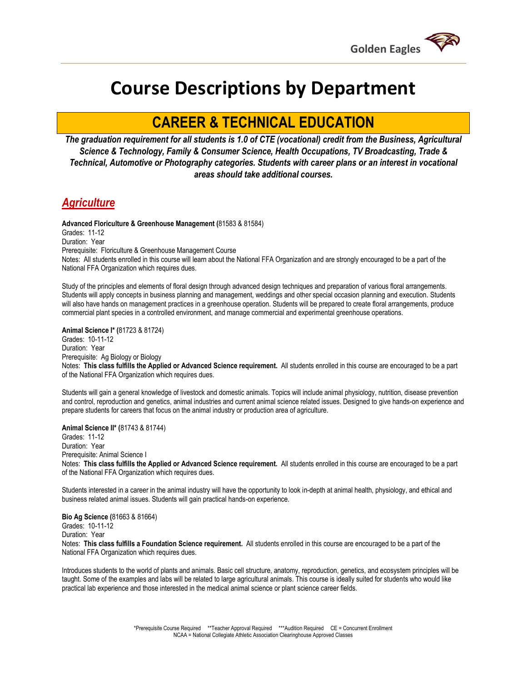

# **Course Descriptions by Department**

## **CAREER & TECHNICAL EDUCATION**

*The graduation requirement for all students is 1.0 of CTE (vocational) credit from the Business, Agricultural Science & Technology, Family & Consumer Science, Health Occupations, TV Broadcasting, Trade & Technical, Automotive or Photography categories. Students with career plans or an interest in vocational areas should take additional courses.*

### *Agriculture*

**Advanced Floriculture & Greenhouse Management (**81583 & 81584) Grades: 11-12

Duration: Year

Prerequisite: Floriculture & Greenhouse Management Course

Notes: All students enrolled in this course will learn about the National FFA Organization and are strongly encouraged to be a part of the National FFA Organization which requires dues.

Study of the principles and elements of floral design through advanced design techniques and preparation of various floral arrangements. Students will apply concepts in business planning and management, weddings and other special occasion planning and execution. Students will also have hands on management practices in a greenhouse operation. Students will be prepared to create floral arrangements, produce commercial plant species in a controlled environment, and manage commercial and experimental greenhouse operations.

**Animal Science I\* (**81723 & 81724) Grades: 10-11-12 Duration: Year Prerequisite: Ag Biology or Biology Notes: **This class fulfills the Applied or Advanced Science requirement.** All students enrolled in this course are encouraged to be a part of the National FFA Organization which requires dues.

Students will gain a general knowledge of livestock and domestic animals. Topics will include animal physiology, nutrition, disease prevention and control, reproduction and genetics, animal industries and current animal science related issues. Designed to give hands-on experience and prepare students for careers that focus on the animal industry or production area of agriculture.

**Animal Science II\* (**81743 & 81744)

Grades: 11-12 Duration: Year Prerequisite: Animal Science I Notes: **This class fulfills the Applied or Advanced Science requirement.** All students enrolled in this course are encouraged to be a part of the National FFA Organization which requires dues.

Students interested in a career in the animal industry will have the opportunity to look in-depth at animal health, physiology, and ethical and business related animal issues. Students will gain practical hands-on experience.

**Bio Ag Science (**81663 & 81664) Grades: 10-11-12 Duration: Year

Notes: **This class fulfills a Foundation Science requirement.** All students enrolled in this course are encouraged to be a part of the National FFA Organization which requires dues.

Introduces students to the world of plants and animals. Basic cell structure, anatomy, reproduction, genetics, and ecosystem principles will be taught. Some of the examples and labs will be related to large agricultural animals. This course is ideally suited for students who would like practical lab experience and those interested in the medical animal science or plant science career fields.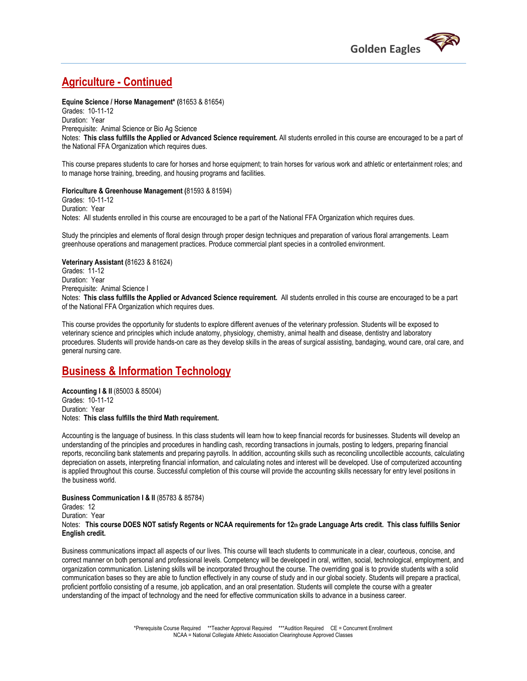

### **Agriculture - Continued**

**Equine Science / Horse Management\* (**81653 & 81654)

Grades: 10-11-12 Duration: Year Prerequisite: Animal Science or Bio Ag Science Notes: **This class fulfills the Applied or Advanced Science requirement.** All students enrolled in this course are encouraged to be a part of the National FFA Organization which requires dues.

This course prepares students to care for horses and horse equipment; to train horses for various work and athletic or entertainment roles; and to manage horse training, breeding, and housing programs and facilities.

#### **Floriculture & Greenhouse Management (**81593 & 81594)

Grades: 10-11-12 Duration: Year Notes: All students enrolled in this course are encouraged to be a part of the National FFA Organization which requires dues.

Study the principles and elements of floral design through proper design techniques and preparation of various floral arrangements. Learn greenhouse operations and management practices. Produce commercial plant species in a controlled environment.

#### **Veterinary Assistant (**81623 & 81624)

Grades: 11-12 Duration: Year Prerequisite: Animal Science I Notes: **This class fulfills the Applied or Advanced Science requirement.** All students enrolled in this course are encouraged to be a part of the National FFA Organization which requires dues.

This course provides the opportunity for students to explore different avenues of the veterinary profession. Students will be exposed to veterinary science and principles which include anatomy, physiology, chemistry, animal health and disease, dentistry and laboratory procedures. Students will provide hands-on care as they develop skills in the areas of surgical assisting, bandaging, wound care, oral care, and general nursing care.

### **Business & Information Technology**

**Accounting I & II** (85003 & 85004) Grades: 10-11-12 Duration: Year Notes: **This class fulfills the third Math requirement.** 

Accounting is the language of business. In this class students will learn how to keep financial records for businesses. Students will develop an understanding of the principles and procedures in handling cash, recording transactions in journals, posting to ledgers, preparing financial reports, reconciling bank statements and preparing payrolls. In addition, accounting skills such as reconciling uncollectible accounts, calculating depreciation on assets, interpreting financial information, and calculating notes and interest will be developed. Use of computerized accounting is applied throughout this course. Successful completion of this course will provide the accounting skills necessary for entry level positions in the business world.

**Business Communication I & II** (85783 & 85784) Grades: 12 Duration: Year Notes: **This course DOES NOT satisfy Regents or NCAA requirements for 12th grade Language Arts credit. This class fulfills Senior English credit.** 

Business communications impact all aspects of our lives. This course will teach students to communicate in a clear, courteous, concise, and correct manner on both personal and professional levels. Competency will be developed in oral, written, social, technological, employment, and organization communication. Listening skills will be incorporated throughout the course. The overriding goal is to provide students with a solid communication bases so they are able to function effectively in any course of study and in our global society. Students will prepare a practical, proficient portfolio consisting of a resume, job application, and an oral presentation. Students will complete the course with a greater understanding of the impact of technology and the need for effective communication skills to advance in a business career.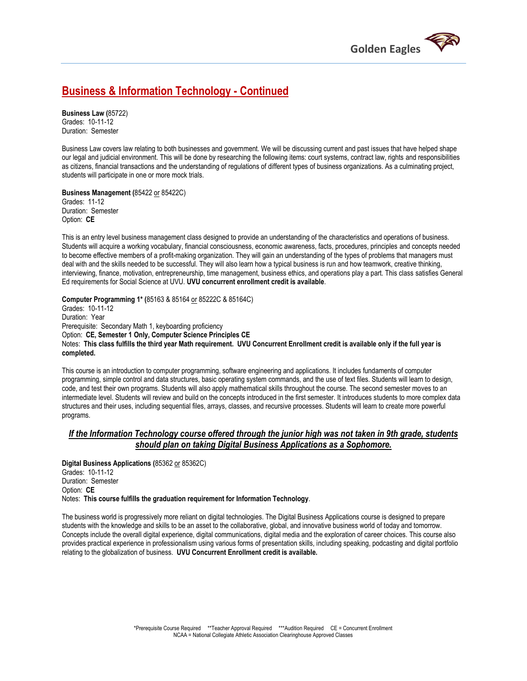

### **Business & Information Technology - Continued**

**Business Law (**85722) Grades: 10-11-12 Duration: Semester

Business Law covers law relating to both businesses and government. We will be discussing current and past issues that have helped shape our legal and judicial environment. This will be done by researching the following items: court systems, contract law, rights and responsibilities as citizens, financial transactions and the understanding of regulations of different types of business organizations. As a culminating project, students will participate in one or more mock trials.

**Business Management (**85422 or 85422C) Grades: 11-12 Duration: Semester Option: **CE**

This is an entry level business management class designed to provide an understanding of the characteristics and operations of business. Students will acquire a working vocabulary, financial consciousness, economic awareness, facts, procedures, principles and concepts needed to become effective members of a profit-making organization. They will gain an understanding of the types of problems that managers must deal with and the skills needed to be successful. They will also learn how a typical business is run and how teamwork, creative thinking, interviewing, finance, motivation, entrepreneurship, time management, business ethics, and operations play a part. This class satisfies General Ed requirements for Social Science at UVU. **UVU concurrent enrollment credit is available**.

**Computer Programming 1\* (**85163 & 85164 or 85222C & 85164C) Grades: 10-11-12 Duration: Year Prerequisite: Secondary Math 1, keyboarding proficiency Option: **CE, Semester 1 Only, Computer Science Principles CE**  Notes: **This class fulfills the third year Math requirement. UVU Concurrent Enrollment credit is available only if the full year is completed.**

This course is an introduction to computer programming, software engineering and applications. It includes fundaments of computer programming, simple control and data structures, basic operating system commands, and the use of text files. Students will learn to design, code, and test their own programs. Students will also apply mathematical skills throughout the course. The second semester moves to an intermediate level. Students will review and build on the concepts introduced in the first semester. It introduces students to more complex data structures and their uses, including sequential files, arrays, classes, and recursive processes. Students will learn to create more powerful programs.

### *If the Information Technology course offered through the junior high was not taken in 9th grade, students should plan on taking Digital Business Applications as a Sophomore.*

**Digital Business Applications (**85362 or 85362C) Grades: 10-11-12 Duration: Semester Option: **CE** Notes: **This course fulfills the graduation requirement for Information Technology**.

The business world is progressively more reliant on digital technologies. The Digital Business Applications course is designed to prepare students with the knowledge and skills to be an asset to the collaborative, global, and innovative business world of today and tomorrow. Concepts include the overall digital experience, digital communications, digital media and the exploration of career choices. This course also provides practical experience in professionalism using various forms of presentation skills, including speaking, podcasting and digital portfolio relating to the globalization of business. **UVU Concurrent Enrollment credit is available.**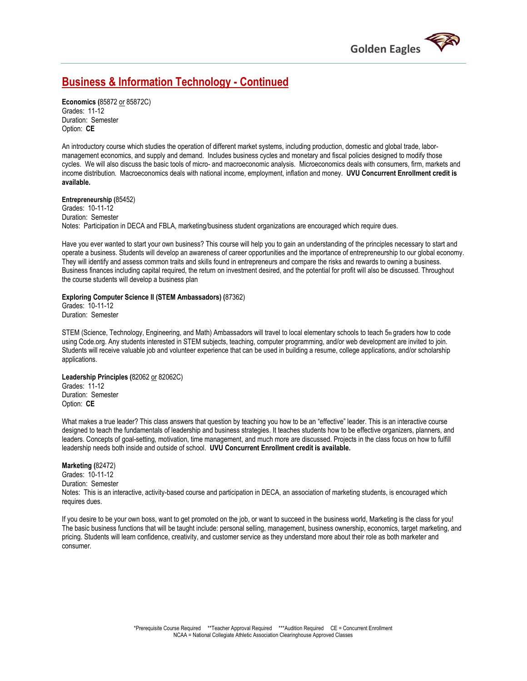

### **Business & Information Technology - Continued**

**Economics (**85872 or 85872C) Grades: 11-12 Duration: Semester Option: **CE**

An introductory course which studies the operation of different market systems, including production, domestic and global trade, labormanagement economics, and supply and demand. Includes business cycles and monetary and fiscal policies designed to modify those cycles. We will also discuss the basic tools of micro- and macroeconomic analysis. Microeconomics deals with consumers, firm, markets and income distribution. Macroeconomics deals with national income, employment, inflation and money. **UVU Concurrent Enrollment credit is available.** 

**Entrepreneurship (**85452) Grades: 10-11-12 Duration: Semester Notes: Participation in DECA and FBLA, marketing/business student organizations are encouraged which require dues.

Have you ever wanted to start your own business? This course will help you to gain an understanding of the principles necessary to start and operate a business. Students will develop an awareness of career opportunities and the importance of entrepreneurship to our global economy. They will identify and assess common traits and skills found in entrepreneurs and compare the risks and rewards to owning a business. Business finances including capital required, the return on investment desired, and the potential for profit will also be discussed. Throughout the course students will develop a business plan

**Exploring Computer Science II (STEM Ambassadors) (**87362)

Grades: 10-11-12 Duration: Semester

STEM (Science, Technology, Engineering, and Math) Ambassadors will travel to local elementary schools to teach 5th graders how to code using Code.org. Any students interested in STEM subjects, teaching, computer programming, and/or web development are invited to join. Students will receive valuable job and volunteer experience that can be used in building a resume, college applications, and/or scholarship applications.

**Leadership Principles (**82062 or 82062C) Grades: 11-12 Duration: Semester Option: **CE**

What makes a true leader? This class answers that question by teaching you how to be an "effective" leader. This is an interactive course designed to teach the fundamentals of leadership and business strategies. It teaches students how to be effective organizers, planners, and leaders. Concepts of goal-setting, motivation, time management, and much more are discussed. Projects in the class focus on how to fulfill leadership needs both inside and outside of school. **UVU Concurrent Enrollment credit is available.**

#### **Marketing (**82472)

Grades: 10-11-12 Duration: Semester Notes: This is an interactive, activity-based course and participation in DECA, an association of marketing students, is encouraged which requires dues.

If you desire to be your own boss, want to get promoted on the job, or want to succeed in the business world, Marketing is the class for you! The basic business functions that will be taught include: personal selling, management, business ownership, economics, target marketing, and pricing. Students will learn confidence, creativity, and customer service as they understand more about their role as both marketer and consumer.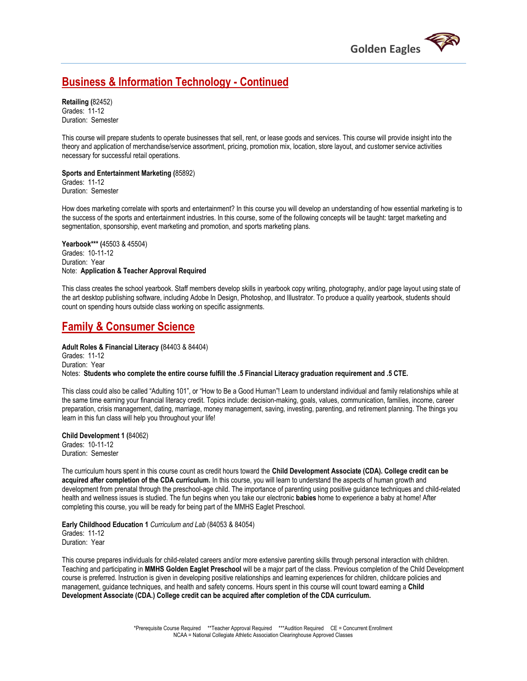

### **Business & Information Technology - Continued**

**Retailing (**82452) Grades: 11-12 Duration: Semester

This course will prepare students to operate businesses that sell, rent, or lease goods and services. This course will provide insight into the theory and application of merchandise/service assortment, pricing, promotion mix, location, store layout, and customer service activities necessary for successful retail operations.

**Sports and Entertainment Marketing (**85892) Grades: 11-12 Duration: Semester

How does marketing correlate with sports and entertainment? In this course you will develop an understanding of how essential marketing is to the success of the sports and entertainment industries. In this course, some of the following concepts will be taught: target marketing and segmentation, sponsorship, event marketing and promotion, and sports marketing plans.

**Yearbook\*\*\* (**45503 & 45504) Grades: 10-11-12 Duration: Year Note: **Application & Teacher Approval Required**

This class creates the school yearbook. Staff members develop skills in yearbook copy writing, photography, and/or page layout using state of the art desktop publishing software, including Adobe In Design, Photoshop, and Illustrator. To produce a quality yearbook, students should count on spending hours outside class working on specific assignments.

### **Family & Consumer Science**

**Adult Roles & Financial Literacy (**84403 & 84404) Grades: 11-12 Duration: Year Notes: **Students who complete the entire course fulfill the .5 Financial Literacy graduation requirement and .5 CTE.**

This class could also be called "Adulting 101", or "How to Be a Good Human"! Learn to understand individual and family relationships while at the same time earning your financial literacy credit. Topics include: decision-making, goals, values, communication, families, income, career preparation, crisis management, dating, marriage, money management, saving, investing, parenting, and retirement planning. The things you learn in this fun class will help you throughout your life!

**Child Development 1 (**84062) Grades: 10-11-12 Duration: Semester

The curriculum hours spent in this course count as credit hours toward the **Child Development Associate (CDA). College credit can be acquired after completion of the CDA curriculum.** In this course, you will learn to understand the aspects of human growth and development from prenatal through the preschool-age child. The importance of parenting using positive guidance techniques and child-related health and wellness issues is studied. The fun begins when you take our electronic **babies** home to experience a baby at home! After completing this course, you will be ready for being part of the MMHS Eaglet Preschool.

**Early Childhood Education 1** *Curriculum and Lab* (84053 & 84054) Grades: 11-12 Duration: Year

This course prepares individuals for child-related careers and/or more extensive parenting skills through personal interaction with children. Teaching and participating in **MMHS Golden Eaglet Preschool** will be a major part of the class. Previous completion of the Child Development course is preferred. Instruction is given in developing positive relationships and learning experiences for children, childcare policies and management, guidance techniques, and health and safety concerns. Hours spent in this course will count toward earning a **Child Development Associate (CDA.) College credit can be acquired after completion of the CDA curriculum.**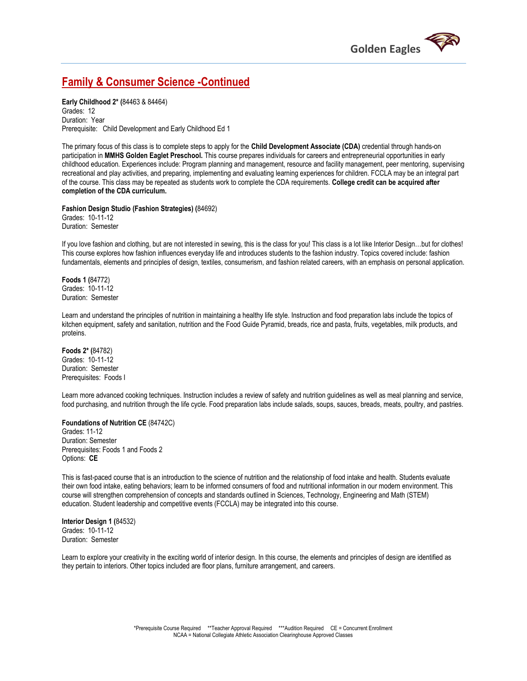

### **Family & Consumer Science -Continued**

**Early Childhood 2\* (**84463 & 84464) Grades: 12 Duration: Year Prerequisite: Child Development and Early Childhood Ed 1

The primary focus of this class is to complete steps to apply for the **Child Development Associate (CDA)** credential through hands-on participation in **MMHS Golden Eaglet Preschool.** This course prepares individuals for careers and entrepreneurial opportunities in early childhood education. Experiences include: Program planning and management, resource and facility management, peer mentoring, supervising recreational and play activities, and preparing, implementing and evaluating learning experiences for children. FCCLA may be an integral part of the course. This class may be repeated as students work to complete the CDA requirements. **College credit can be acquired after completion of the CDA curriculum.**

**Fashion Design Studio (Fashion Strategies) (**84692) Grades: 10-11-12 Duration: Semester

If you love fashion and clothing, but are not interested in sewing, this is the class for you! This class is a lot like Interior Design…but for clothes! This course explores how fashion influences everyday life and introduces students to the fashion industry. Topics covered include: fashion fundamentals, elements and principles of design, textiles, consumerism, and fashion related careers, with an emphasis on personal application.

**Foods 1 (**84772) Grades: 10-11-12 Duration: Semester

Learn and understand the principles of nutrition in maintaining a healthy life style. Instruction and food preparation labs include the topics of kitchen equipment, safety and sanitation, nutrition and the Food Guide Pyramid, breads, rice and pasta, fruits, vegetables, milk products, and proteins.

**Foods 2\* (**84782) Grades: 10-11-12 Duration: Semester Prerequisites: Foods I

Learn more advanced cooking techniques. Instruction includes a review of safety and nutrition guidelines as well as meal planning and service, food purchasing, and nutrition through the life cycle. Food preparation labs include salads, soups, sauces, breads, meats, poultry, and pastries.

#### **Foundations of Nutrition CE** (84742C)

Grades: 11-12 Duration: Semester Prerequisites: Foods 1 and Foods 2 Options: **CE**

This is fast-paced course that is an introduction to the science of nutrition and the relationship of food intake and health. Students evaluate their own food intake, eating behaviors; learn to be informed consumers of food and nutritional information in our modern environment. This course will strengthen comprehension of concepts and standards outlined in Sciences, Technology, Engineering and Math (STEM) education. Student leadership and competitive events (FCCLA) may be integrated into this course.

**Interior Design 1 (**84532) Grades: 10-11-12 Duration: Semester

Learn to explore your creativity in the exciting world of interior design. In this course, the elements and principles of design are identified as they pertain to interiors. Other topics included are floor plans, furniture arrangement, and careers.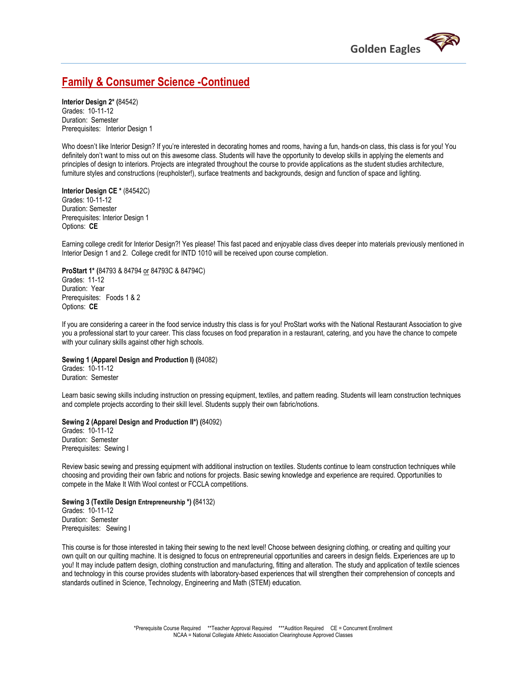

### **Family & Consumer Science -Continued**

**Interior Design 2\* (**84542) Grades: 10-11-12 Duration: Semester Prerequisites: Interior Design 1

Who doesn't like Interior Design? If you're interested in decorating homes and rooms, having a fun, hands-on class, this class is for you! You definitely don't want to miss out on this awesome class. Students will have the opportunity to develop skills in applying the elements and principles of design to interiors. Projects are integrated throughout the course to provide applications as the student studies architecture, furniture styles and constructions (reupholster!), surface treatments and backgrounds, design and function of space and lighting.

#### **Interior Design CE \*** (84542C) Grades: 10-11-12 Duration: Semester Prerequisites: Interior Design 1 Options: **CE**

Earning college credit for Interior Design?! Yes please! This fast paced and enjoyable class dives deeper into materials previously mentioned in Interior Design 1 and 2. College credit for INTD 1010 will be received upon course completion.

**ProStart 1\* (**84793 & 84794 or 84793C & 84794C) Grades: 11-12 Duration: Year Prerequisites: Foods 1 & 2 Options: **CE**

If you are considering a career in the food service industry this class is for you! ProStart works with the National Restaurant Association to give you a professional start to your career. This class focuses on food preparation in a restaurant, catering, and you have the chance to compete with your culinary skills against other high schools.

#### **Sewing 1 (Apparel Design and Production I) (**84082)

Grades: 10-11-12 Duration: Semester

Learn basic sewing skills including instruction on pressing equipment, textiles, and pattern reading. Students will learn construction techniques and complete projects according to their skill level. Students supply their own fabric/notions.

#### **Sewing 2 (Apparel Design and Production II\*) (**84092)

Grades: 10-11-12 Duration: Semester Prerequisites: Sewing I

Review basic sewing and pressing equipment with additional instruction on textiles. Students continue to learn construction techniques while choosing and providing their own fabric and notions for projects. Basic sewing knowledge and experience are required. Opportunities to compete in the Make It With Wool contest or FCCLA competitions.

#### **Sewing 3 (Textile Design Entrepreneurship \*) (**84132) Grades: 10-11-12

Duration: Semester Prerequisites: Sewing I

This course is for those interested in taking their sewing to the next level! Choose between designing clothing, or creating and quilting your own quilt on our quilting machine. It is designed to focus on entrepreneurial opportunities and careers in design fields. Experiences are up to you! It may include pattern design, clothing construction and manufacturing, fitting and alteration. The study and application of textile sciences and technology in this course provides students with laboratory-based experiences that will strengthen their comprehension of concepts and standards outlined in Science, Technology, Engineering and Math (STEM) education.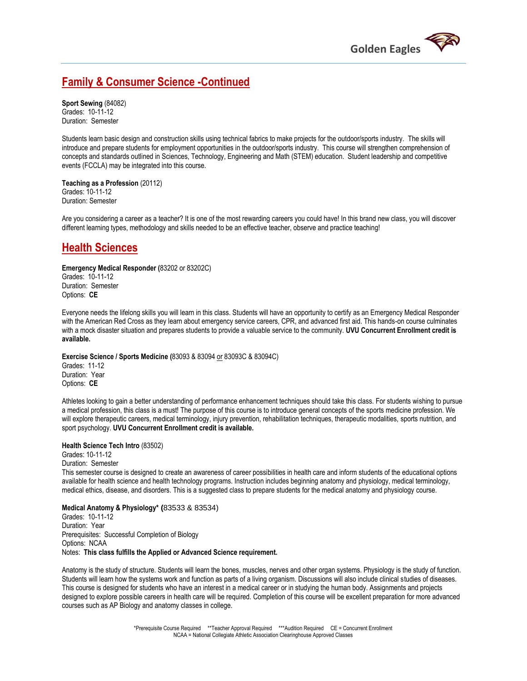

### **Family & Consumer Science -Continued**

**Sport Sewing** (84082) Grades: 10-11-12 Duration: Semester

Students learn basic design and construction skills using technical fabrics to make projects for the outdoor/sports industry. The skills will introduce and prepare students for employment opportunities in the outdoor/sports industry. This course will strengthen comprehension of concepts and standards outlined in Sciences, Technology, Engineering and Math (STEM) education. Student leadership and competitive events (FCCLA) may be integrated into this course.

**Teaching as a Profession** (20112) Grades: 10-11-12 Duration: Semester

Are you considering a career as a teacher? It is one of the most rewarding careers you could have! In this brand new class, you will discover different learning types, methodology and skills needed to be an effective teacher, observe and practice teaching!

### **Health Sciences**

### **Emergency Medical Responder (**83202 or 83202C)

Grades: 10-11-12 Duration: Semester Options: **CE**

Everyone needs the lifelong skills you will learn in this class. Students will have an opportunity to certify as an Emergency Medical Responder with the American Red Cross as they learn about emergency service careers, CPR, and advanced first aid. This hands-on course culminates with a mock disaster situation and prepares students to provide a valuable service to the community. **UVU Concurrent Enrollment credit is available.** 

#### **Exercise Science / Sports Medicine (**83093 & 83094 or 83093C & 83094C)

Grades: 11-12 Duration: Year Options: **CE**

Athletes looking to gain a better understanding of performance enhancement techniques should take this class. For students wishing to pursue a medical profession, this class is a must! The purpose of this course is to introduce general concepts of the sports medicine profession. We will explore therapeutic careers, medical terminology, injury prevention, rehabilitation techniques, therapeutic modalities, sports nutrition, and sport psychology. **UVU Concurrent Enrollment credit is available.** 

### **Health Science Tech Intro** (83502)

Grades: 10-11-12 Duration: Semester This semester course is designed to create an awareness of career possibilities in health care and inform students of the educational options available for health science and health technology programs. Instruction includes beginning anatomy and physiology, medical terminology, medical ethics, disease, and disorders. This is a suggested class to prepare students for the medical anatomy and physiology course.

#### **Medical Anatomy & Physiology\* (**83533 & 83534)

Grades: 10-11-12 Duration: Year Prerequisites: Successful Completion of Biology Options: NCAA Notes: **This class fulfills the Applied or Advanced Science requirement.** 

Anatomy is the study of structure. Students will learn the bones, muscles, nerves and other organ systems. Physiology is the study of function. Students will learn how the systems work and function as parts of a living organism. Discussions will also include clinical studies of diseases. This course is designed for students who have an interest in a medical career or in studying the human body. Assignments and projects designed to explore possible careers in health care will be required. Completion of this course will be excellent preparation for more advanced courses such as AP Biology and anatomy classes in college.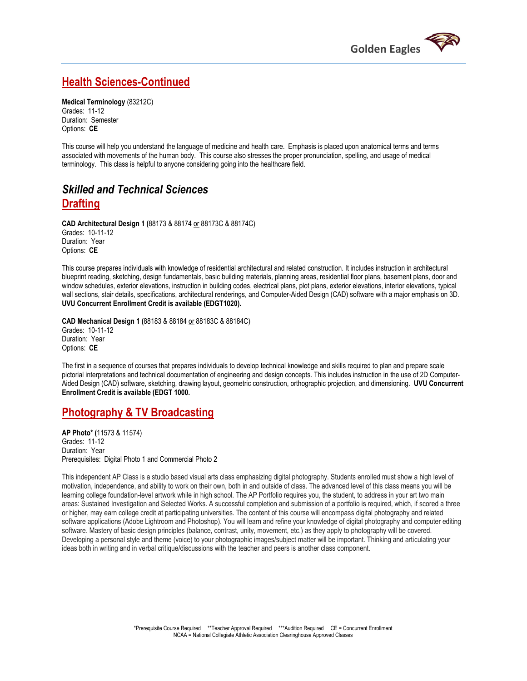

### **Health Sciences-Continued**

**Medical Terminology** (83212C) Grades: 11-12 Duration: Semester Options: **CE**

This course will help you understand the language of medicine and health care. Emphasis is placed upon anatomical terms and terms associated with movements of the human body. This course also stresses the proper pronunciation, spelling, and usage of medical terminology. This class is helpful to anyone considering going into the healthcare field.

### *Skilled and Technical Sciences* **Drafting**

**CAD Architectural Design 1 (**88173 & 88174 or 88173C & 88174C) Grades: 10-11-12 Duration: Year Options: **CE**

This course prepares individuals with knowledge of residential architectural and related construction. It includes instruction in architectural blueprint reading, sketching, design fundamentals, basic building materials, planning areas, residential floor plans, basement plans, door and window schedules, exterior elevations, instruction in building codes, electrical plans, plot plans, exterior elevations, interior elevations, typical wall sections, stair details, specifications, architectural renderings, and Computer-Aided Design (CAD) software with a major emphasis on 3D. **UVU Concurrent Enrollment Credit is available (EDGT1020).** 

**CAD Mechanical Design 1 (**88183 & 88184 or 88183C & 88184C) Grades: 10-11-12 Duration: Year Options: **CE**

The first in a sequence of courses that prepares individuals to develop technical knowledge and skills required to plan and prepare scale pictorial interpretations and technical documentation of engineering and design concepts. This includes instruction in the use of 2D Computer-Aided Design (CAD) software, sketching, drawing layout, geometric construction, orthographic projection, and dimensioning. **UVU Concurrent Enrollment Credit is available (EDGT 1000.** 

### **Photography & TV Broadcasting**

**AP Photo\* (**11573 & 11574) Grades: 11-12 Duration: Year Prerequisites: Digital Photo 1 and Commercial Photo 2

This independent AP Class is a studio based visual arts class emphasizing digital photography. Students enrolled must show a high level of motivation, independence, and ability to work on their own, both in and outside of class. The advanced level of this class means you will be learning college foundation-level artwork while in high school. The AP Portfolio requires you, the student, to address in your art two main areas: Sustained Investigation and Selected Works. A successful completion and submission of a portfolio is required, which, if scored a three or higher, may earn college credit at participating universities. The content of this course will encompass digital photography and related software applications (Adobe Lightroom and Photoshop). You will learn and refine your knowledge of digital photography and computer editing software. Mastery of basic design principles (balance, contrast, unity, movement, etc.) as they apply to photography will be covered. Developing a personal style and theme (voice) to your photographic images/subject matter will be important. Thinking and articulating your ideas both in writing and in verbal critique/discussions with the teacher and peers is another class component.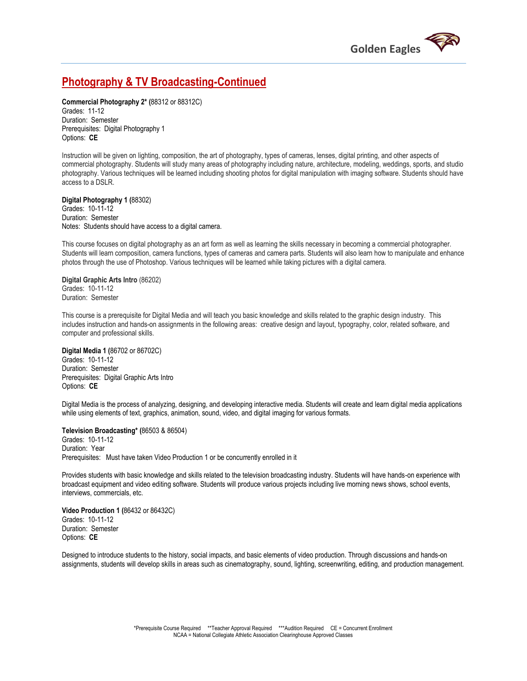

### **Photography & TV Broadcasting-Continued**

**Commercial Photography 2\* (**88312 or 88312C) Grades: 11-12 Duration: Semester Prerequisites: Digital Photography 1 Options: **CE**

Instruction will be given on lighting, composition, the art of photography, types of cameras, lenses, digital printing, and other aspects of commercial photography. Students will study many areas of photography including nature, architecture, modeling, weddings, sports, and studio photography. Various techniques will be learned including shooting photos for digital manipulation with imaging software. Students should have access to a DSLR.

**Digital Photography 1 (**88302) Grades: 10-11-12 Duration: Semester Notes: Students should have access to a digital camera.

This course focuses on digital photography as an art form as well as learning the skills necessary in becoming a commercial photographer. Students will learn composition, camera functions, types of cameras and camera parts. Students will also learn how to manipulate and enhance photos through the use of Photoshop. Various techniques will be learned while taking pictures with a digital camera.

**Digital Graphic Arts Intro** (86202) Grades: 10-11-12 Duration: Semester

This course is a prerequisite for Digital Media and will teach you basic knowledge and skills related to the graphic design industry. This includes instruction and hands-on assignments in the following areas: creative design and layout, typography, color, related software, and computer and professional skills.

**Digital Media 1 (**86702 or 86702C) Grades: 10-11-12 Duration: Semester Prerequisites: Digital Graphic Arts Intro Options: **CE**

Digital Media is the process of analyzing, designing, and developing interactive media. Students will create and learn digital media applications while using elements of text, graphics, animation, sound, video, and digital imaging for various formats.

**Television Broadcasting\* (**86503 & 86504)

Grades: 10-11-12 Duration: Year Prerequisites: Must have taken Video Production 1 or be concurrently enrolled in it

Provides students with basic knowledge and skills related to the television broadcasting industry. Students will have hands-on experience with broadcast equipment and video editing software. Students will produce various projects including live morning news shows, school events, interviews, commercials, etc.

**Video Production 1 (**86432 or 86432C) Grades: 10-11-12 Duration: Semester Options: **CE**

Designed to introduce students to the history, social impacts, and basic elements of video production. Through discussions and hands-on assignments, students will develop skills in areas such as cinematography, sound, lighting, screenwriting, editing, and production management.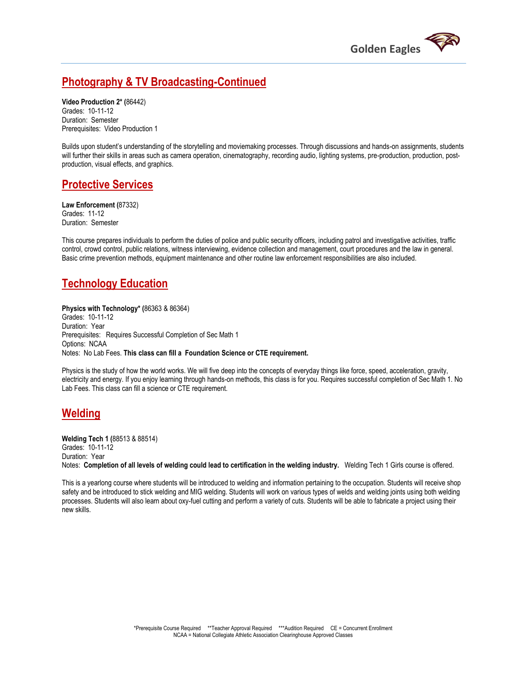

### **Photography & TV Broadcasting-Continued**

**Video Production 2\* (**86442) Grades: 10-11-12 Duration: Semester Prerequisites: Video Production 1

Builds upon student's understanding of the storytelling and moviemaking processes. Through discussions and hands-on assignments, students will further their skills in areas such as camera operation, cinematography, recording audio, lighting systems, pre-production, production, postproduction, visual effects, and graphics.

### **Protective Services**

**Law Enforcement (**87332) Grades: 11-12 Duration: Semester

This course prepares individuals to perform the duties of police and public security officers, including patrol and investigative activities, traffic control, crowd control, public relations, witness interviewing, evidence collection and management, court procedures and the law in general. Basic crime prevention methods, equipment maintenance and other routine law enforcement responsibilities are also included.

### **Technology Education**

**Physics with Technology\* (**86363 & 86364) Grades: 10-11-12 Duration: Year Prerequisites: Requires Successful Completion of Sec Math 1 Options: NCAA Notes: No Lab Fees. **This class can fill a Foundation Science or CTE requirement.** 

Physics is the study of how the world works. We will five deep into the concepts of everyday things like force, speed, acceleration, gravity, electricity and energy. If you enjoy learning through hands-on methods, this class is for you. Requires successful completion of Sec Math 1. No Lab Fees. This class can fill a science or CTE requirement.

### **Welding**

**Welding Tech 1 (**88513 & 88514) Grades: 10-11-12 Duration: Year Notes: **Completion of all levels of welding could lead to certification in the welding industry.** Welding Tech 1 Girls course is offered.

This is a yearlong course where students will be introduced to welding and information pertaining to the occupation. Students will receive shop safety and be introduced to stick welding and MIG welding. Students will work on various types of welds and welding joints using both welding processes. Students will also learn about oxy-fuel cutting and perform a variety of cuts. Students will be able to fabricate a project using their new skills.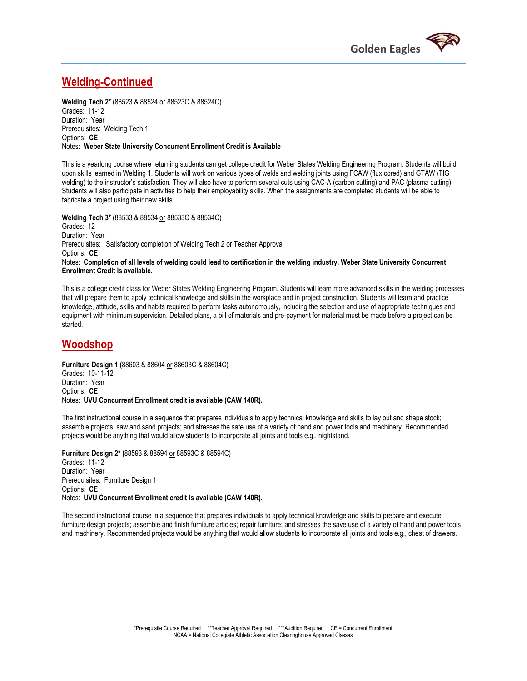

### **Welding-Continued**

**Welding Tech 2\* (**88523 & 88524 or 88523C & 88524C) Grades: 11-12 Duration: Year Prerequisites: Welding Tech 1 Options: **CE** Notes: **Weber State University Concurrent Enrollment Credit is Available** 

This is a yearlong course where returning students can get college credit for Weber States Welding Engineering Program. Students will build upon skills learned in Welding 1. Students will work on various types of welds and welding joints using FCAW (flux cored) and GTAW (TIG welding) to the instructor's satisfaction. They will also have to perform several cuts using CAC-A (carbon cutting) and PAC (plasma cutting). Students will also participate in activities to help their employability skills. When the assignments are completed students will be able to fabricate a project using their new skills.

**Welding Tech 3\* (**88533 & 88534 or 88533C & 88534C)

Grades: 12 Duration: Year Prerequisites: Satisfactory completion of Welding Tech 2 or Teacher Approval Options: **CE** Notes: **Completion of all levels of welding could lead to certification in the welding industry. Weber State University Concurrent Enrollment Credit is available.**

This is a college credit class for Weber States Welding Engineering Program. Students will learn more advanced skills in the welding processes that will prepare them to apply technical knowledge and skills in the workplace and in project construction. Students will learn and practice knowledge, attitude, skills and habits required to perform tasks autonomously, including the selection and use of appropriate techniques and equipment with minimum supervision. Detailed plans, a bill of materials and pre-payment for material must be made before a project can be started.

### **Woodshop**

**Furniture Design 1 (**88603 & 88604 or 88603C & 88604C) Grades: 10-11-12 Duration: Year Options: **CE** Notes: **UVU Concurrent Enrollment credit is available (CAW 140R).** 

The first instructional course in a sequence that prepares individuals to apply technical knowledge and skills to lay out and shape stock; assemble projects; saw and sand projects; and stresses the safe use of a variety of hand and power tools and machinery. Recommended projects would be anything that would allow students to incorporate all joints and tools e.g., nightstand.

**Furniture Design 2\* (**88593 & 88594 or 88593C & 88594C) Grades: 11-12 Duration: Year Prerequisites: Furniture Design 1 Options: **CE** Notes: **UVU Concurrent Enrollment credit is available (CAW 140R).** 

The second instructional course in a sequence that prepares individuals to apply technical knowledge and skills to prepare and execute furniture design projects; assemble and finish furniture articles; repair furniture; and stresses the save use of a variety of hand and power tools and machinery. Recommended projects would be anything that would allow students to incorporate all joints and tools e.g., chest of drawers.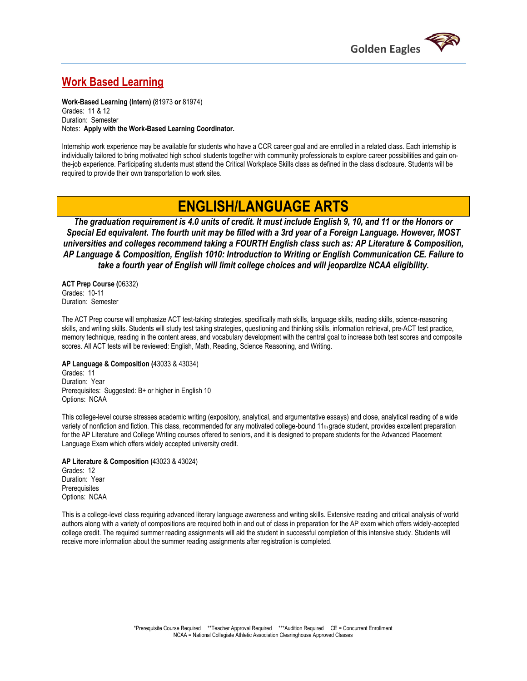

### **Work Based Learning**

**Work-Based Learning (Intern) (**81973 **or** 81974) Grades: 11 & 12 Duration: Semester Notes: **Apply with the Work-Based Learning Coordinator.** 

Internship work experience may be available for students who have a CCR career goal and are enrolled in a related class. Each internship is individually tailored to bring motivated high school students together with community professionals to explore career possibilities and gain onthe-job experience. Participating students must attend the Critical Workplace Skills class as defined in the class disclosure. Students will be required to provide their own transportation to work sites.

## **ENGLISH/LANGUAGE ARTS**

*The graduation requirement is 4.0 units of credit. It must include English 9, 10, and 11 or the Honors or Special Ed equivalent. The fourth unit may be filled with a 3rd year of a Foreign Language. However, MOST universities and colleges recommend taking a FOURTH English class such as: AP Literature & Composition, AP Language & Composition, English 1010: Introduction to Writing or English Communication CE. Failure to take a fourth year of English will limit college choices and will jeopardize NCAA eligibility.*

**ACT Prep Course (**06332) Grades: 10-11 Duration: Semester

The ACT Prep course will emphasize ACT test-taking strategies, specifically math skills, language skills, reading skills, science-reasoning skills, and writing skills. Students will study test taking strategies, questioning and thinking skills, information retrieval, pre-ACT test practice, memory technique, reading in the content areas, and vocabulary development with the central goal to increase both test scores and composite scores. All ACT tests will be reviewed: English, Math, Reading, Science Reasoning, and Writing.

**AP Language & Composition (**43033 & 43034) Grades: 11 Duration: Year Prerequisites: Suggested: B+ or higher in English 10 Options: NCAA

This college-level course stresses academic writing (expository, analytical, and argumentative essays) and close, analytical reading of a wide variety of nonfiction and fiction. This class, recommended for any motivated college-bound 11th grade student, provides excellent preparation for the AP Literature and College Writing courses offered to seniors, and it is designed to prepare students for the Advanced Placement Language Exam which offers widely accepted university credit.

**AP Literature & Composition (**43023 & 43024) Grades: 12 Duration: Year **Prerequisites** Options: NCAA

This is a college-level class requiring advanced literary language awareness and writing skills. Extensive reading and critical analysis of world authors along with a variety of compositions are required both in and out of class in preparation for the AP exam which offers widely-accepted college credit. The required summer reading assignments will aid the student in successful completion of this intensive study. Students will receive more information about the summer reading assignments after registration is completed.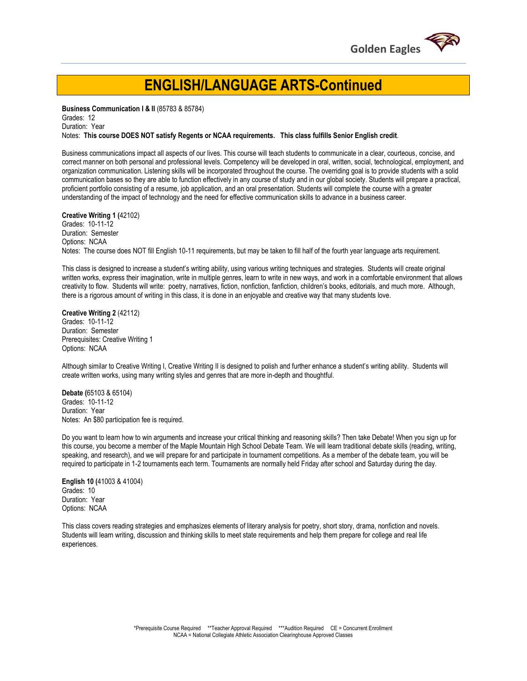

## **ENGLISH/LANGUAGE ARTS-Continued**

**Business Communication I & II** (85783 & 85784)

Grades: 12 Duration: Year

Notes: **This course DOES NOT satisfy Regents or NCAA requirements. This class fulfills Senior English credit**.

Business communications impact all aspects of our lives. This course will teach students to communicate in a clear, courteous, concise, and correct manner on both personal and professional levels. Competency will be developed in oral, written, social, technological, employment, and organization communication. Listening skills will be incorporated throughout the course. The overriding goal is to provide students with a solid communication bases so they are able to function effectively in any course of study and in our global society. Students will prepare a practical, proficient portfolio consisting of a resume, job application, and an oral presentation. Students will complete the course with a greater understanding of the impact of technology and the need for effective communication skills to advance in a business career.

**Creative Writing 1 (**42102) Grades: 10-11-12 Duration: Semester Options: NCAA Notes: The course does NOT fill English 10-11 requirements, but may be taken to fill half of the fourth year language arts requirement.

This class is designed to increase a student's writing ability, using various writing techniques and strategies. Students will create original written works, express their imagination, write in multiple genres, learn to write in new ways, and work in a comfortable environment that allows creativity to flow. Students will write: poetry, narratives, fiction, nonfiction, fanfiction, children's books, editorials, and much more. Although, there is a rigorous amount of writing in this class, it is done in an enjoyable and creative way that many students love.

**Creative Writing 2** (42112) Grades: 10-11-12 Duration: Semester Prerequisites: Creative Writing 1 Options: NCAA

Although similar to Creative Writing I, Creative Writing II is designed to polish and further enhance a student's writing ability. Students will create written works, using many writing styles and genres that are more in-depth and thoughtful.

**Debate (**65103 & 65104) Grades: 10-11-12 Duration: Year Notes: An \$80 participation fee is required.

Do you want to learn how to win arguments and increase your critical thinking and reasoning skills? Then take Debate! When you sign up for this course, you become a member of the Maple Mountain High School Debate Team. We will learn traditional debate skills (reading, writing, speaking, and research), and we will prepare for and participate in tournament competitions. As a member of the debate team, you will be required to participate in 1-2 tournaments each term. Tournaments are normally held Friday after school and Saturday during the day.

**English 10 (**41003 & 41004) Grades: 10 Duration: Year Options: NCAA

This class covers reading strategies and emphasizes elements of literary analysis for poetry, short story, drama, nonfiction and novels. Students will learn writing, discussion and thinking skills to meet state requirements and help them prepare for college and real life experiences.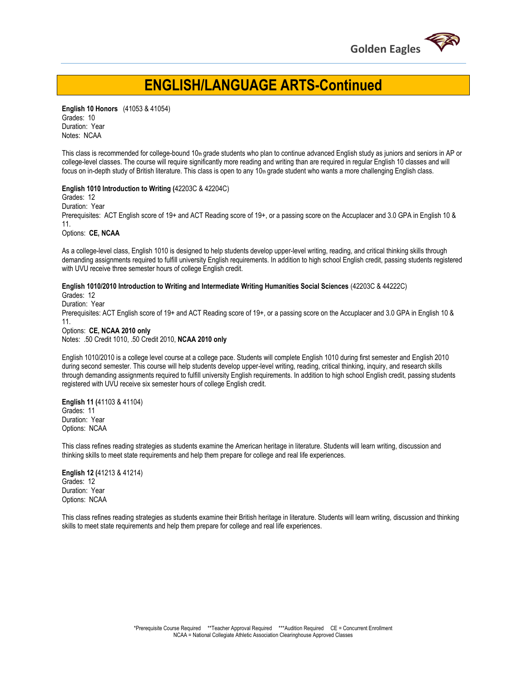

## **ENGLISH/LANGUAGE ARTS-Continued**

**English 10 Honors** (41053 & 41054) Grades: 10 Duration: Year Notes: NCAA

This class is recommended for college-bound 10th grade students who plan to continue advanced English study as juniors and seniors in AP or college-level classes. The course will require significantly more reading and writing than are required in regular English 10 classes and will focus on in-depth study of British literature. This class is open to any  $10<sub>th</sub>$  grade student who wants a more challenging English class.

#### **English 1010 Introduction to Writing (**42203C & 42204C)

Grades: 12

Duration: Year

Prerequisites: ACT English score of 19+ and ACT Reading score of 19+, or a passing score on the Accuplacer and 3.0 GPA in English 10 & 11.

Options: **CE, NCAA**

As a college-level class, English 1010 is designed to help students develop upper-level writing, reading, and critical thinking skills through demanding assignments required to fulfill university English requirements. In addition to high school English credit, passing students registered with UVU receive three semester hours of college English credit.

**English 1010/2010 Introduction to Writing and Intermediate Writing Humanities Social Sciences** (42203C & 44222C)

Grades: 12

Duration: Year

Prerequisites: ACT English score of 19+ and ACT Reading score of 19+, or a passing score on the Accuplacer and 3.0 GPA in English 10 & 11.

Options: **CE, NCAA 2010 only** Notes: .50 Credit 1010, .50 Credit 2010, **NCAA 2010 only**

English 1010/2010 is a college level course at a college pace. Students will complete English 1010 during first semester and English 2010 during second semester. This course will help students develop upper-level writing, reading, critical thinking, inquiry, and research skills through demanding assignments required to fulfill university English requirements. In addition to high school English credit, passing students registered with UVU receive six semester hours of college English credit.

**English 11 (**41103 & 41104) Grades: 11 Duration: Year Options: NCAA

This class refines reading strategies as students examine the American heritage in literature. Students will learn writing, discussion and thinking skills to meet state requirements and help them prepare for college and real life experiences.

**English 12 (**41213 & 41214) Grades: 12 Duration: Year Options: NCAA

This class refines reading strategies as students examine their British heritage in literature. Students will learn writing, discussion and thinking skills to meet state requirements and help them prepare for college and real life experiences.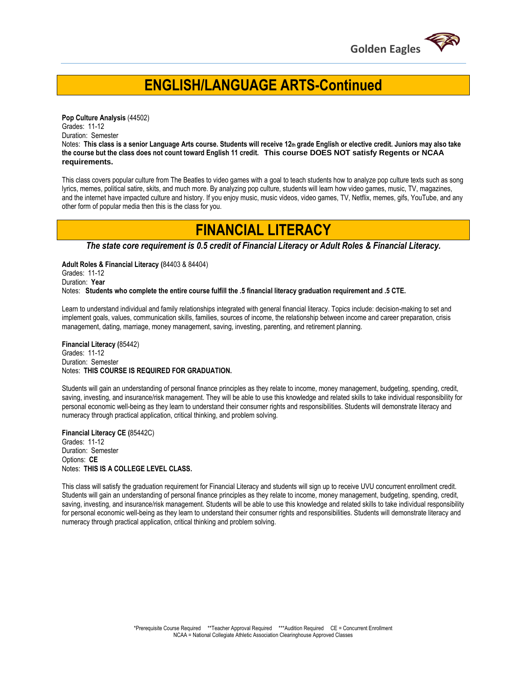

## **ENGLISH/LANGUAGE ARTS-Continued**

**Pop Culture Analysis** (44502) Grades: 11-12 Duration: Semester Notes: **This class is a senior Language Arts course. Students will receive 12th grade English or elective credit. Juniors may also take the course but the class does not count toward English 11 credit. This course DOES NOT satisfy Regents or NCAA requirements.** 

This class covers popular culture from The Beatles to video games with a goal to teach students how to analyze pop culture texts such as song lyrics, memes, political satire, skits, and much more. By analyzing pop culture, students will learn how video games, music, TV, magazines, and the internet have impacted culture and history. If you enjoy music, music videos, video games, TV, Netflix, memes, gifs, YouTube, and any other form of popular media then this is the class for you.

## **FINANCIAL LITERACY**

*The state core requirement is 0.5 credit of Financial Literacy or Adult Roles & Financial Literacy.*

**Adult Roles & Financial Literacy (**84403 & 84404) Grades: 11-12 Duration: **Year** Notes: **Students who complete the entire course fulfill the .5 financial literacy graduation requirement and .5 CTE.** 

Learn to understand individual and family relationships integrated with general financial literacy. Topics include: decision-making to set and implement goals, values, communication skills, families, sources of income, the relationship between income and career preparation, crisis management, dating, marriage, money management, saving, investing, parenting, and retirement planning.

**Financial Literacy (**85442) Grades: 11-12 Duration: Semester Notes: **THIS COURSE IS REQUIRED FOR GRADUATION.** 

Students will gain an understanding of personal finance principles as they relate to income, money management, budgeting, spending, credit, saving, investing, and insurance/risk management. They will be able to use this knowledge and related skills to take individual responsibility for personal economic well-being as they learn to understand their consumer rights and responsibilities. Students will demonstrate literacy and numeracy through practical application, critical thinking, and problem solving.

**Financial Literacy CE (**85442C) Grades: 11-12 Duration: Semester Options: **CE** Notes: **THIS IS A COLLEGE LEVEL CLASS.**

This class will satisfy the graduation requirement for Financial Literacy and students will sign up to receive UVU concurrent enrollment credit. Students will gain an understanding of personal finance principles as they relate to income, money management, budgeting, spending, credit, saving, investing, and insurance/risk management. Students will be able to use this knowledge and related skills to take individual responsibility for personal economic well-being as they learn to understand their consumer rights and responsibilities. Students will demonstrate literacy and numeracy through practical application, critical thinking and problem solving.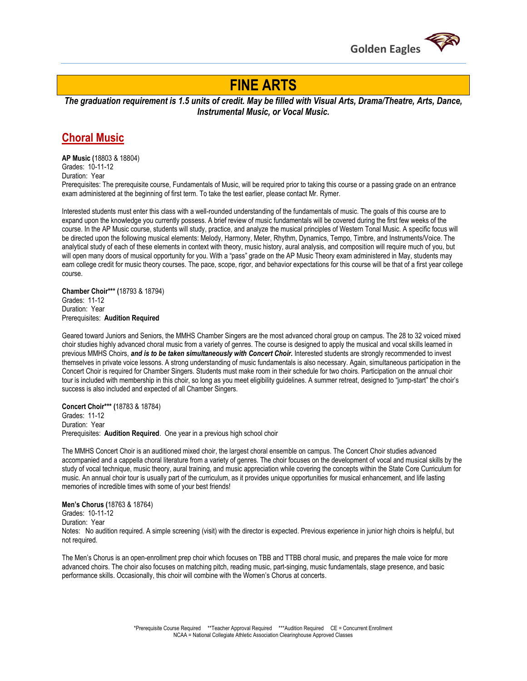

## **FINE ARTS**

*The graduation requirement is 1.5 units of credit. May be filled with Visual Arts, Drama/Theatre, Arts, Dance, Instrumental Music, or Vocal Music.*

### **Choral Music**

**AP Music (**18803 & 18804) Grades: 10-11-12 Duration: Year

Prerequisites: The prerequisite course, Fundamentals of Music, will be required prior to taking this course or a passing grade on an entrance exam administered at the beginning of first term. To take the test earlier, please contact Mr. Rymer.

Interested students must enter this class with a well-rounded understanding of the fundamentals of music. The goals of this course are to expand upon the knowledge you currently possess. A brief review of music fundamentals will be covered during the first few weeks of the course. In the AP Music course, students will study, practice, and analyze the musical principles of Western Tonal Music. A specific focus will be directed upon the following musical elements: Melody, Harmony, Meter, Rhythm, Dynamics, Tempo, Timbre, and Instruments/Voice. The analytical study of each of these elements in context with theory, music history, aural analysis, and composition will require much of you, but will open many doors of musical opportunity for you. With a "pass" grade on the AP Music Theory exam administered in May, students may earn college credit for music theory courses. The pace, scope, rigor, and behavior expectations for this course will be that of a first year college course.

**Chamber Choir\*\*\* (**18793 & 18794) Grades: 11-12 Duration: Year Prerequisites: **Audition Required**

Geared toward Juniors and Seniors, the MMHS Chamber Singers are the most advanced choral group on campus. The 28 to 32 voiced mixed choir studies highly advanced choral music from a variety of genres. The course is designed to apply the musical and vocal skills learned in previous MMHS Choirs, and is to be taken simultaneously with Concert Choir. Interested students are strongly recommended to invest themselves in private voice lessons. A strong understanding of music fundamentals is also necessary. Again, simultaneous participation in the Concert Choir is required for Chamber Singers. Students must make room in their schedule for two choirs. Participation on the annual choir tour is included with membership in this choir, so long as you meet eligibility guidelines. A summer retreat, designed to "jump-start" the choir's success is also included and expected of all Chamber Singers.

**Concert Choir\*\*\* (**18783 & 18784)

Grades: 11-12 Duration: Year Prerequisites: **Audition Required**. One year in a previous high school choir

The MMHS Concert Choir is an auditioned mixed choir, the largest choral ensemble on campus. The Concert Choir studies advanced accompanied and a cappella choral literature from a variety of genres. The choir focuses on the development of vocal and musical skills by the study of vocal technique, music theory, aural training, and music appreciation while covering the concepts within the State Core Curriculum for music. An annual choir tour is usually part of the curriculum, as it provides unique opportunities for musical enhancement, and life lasting memories of incredible times with some of your best friends!

#### **Men's Chorus (**18763 & 18764) Grades: 10-11-12

Duration: Year

Notes: No audition required. A simple screening (visit) with the director is expected. Previous experience in junior high choirs is helpful, but not required.

The Men's Chorus is an open-enrollment prep choir which focuses on TBB and TTBB choral music, and prepares the male voice for more advanced choirs. The choir also focuses on matching pitch, reading music, part-singing, music fundamentals, stage presence, and basic performance skills. Occasionally, this choir will combine with the Women's Chorus at concerts.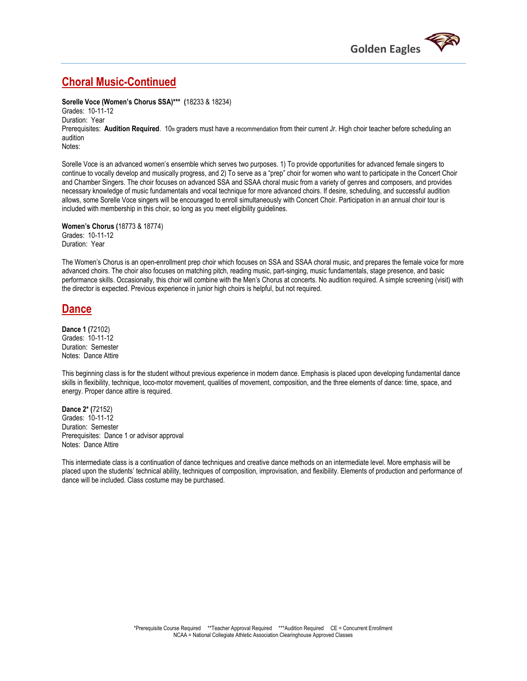

### **Choral Music-Continued**

**Sorelle Voce (Women's Chorus SSA)\*\*\* (**18233 & 18234) Grades: 10-11-12

Duration: Year Prerequisites: **Audition Required**. 10th graders must have a recommendation from their current Jr. High choir teacher before scheduling an audition Notes:

Sorelle Voce is an advanced women's ensemble which serves two purposes. 1) To provide opportunities for advanced female singers to continue to vocally develop and musically progress, and 2) To serve as a "prep" choir for women who want to participate in the Concert Choir and Chamber Singers. The choir focuses on advanced SSA and SSAA choral music from a variety of genres and composers, and provides necessary knowledge of music fundamentals and vocal technique for more advanced choirs. If desire, scheduling, and successful audition allows, some Sorelle Voce singers will be encouraged to enroll simultaneously with Concert Choir. Participation in an annual choir tour is included with membership in this choir, so long as you meet eligibility guidelines.

**Women's Chorus (**18773 & 18774) Grades: 10-11-12 Duration: Year

The Women's Chorus is an open-enrollment prep choir which focuses on SSA and SSAA choral music, and prepares the female voice for more advanced choirs. The choir also focuses on matching pitch, reading music, part-singing, music fundamentals, stage presence, and basic performance skills. Occasionally, this choir will combine with the Men's Chorus at concerts. No audition required. A simple screening (visit) with the director is expected. Previous experience in junior high choirs is helpful, but not required.

### **Dance**

**Dance 1 (**72102) Grades: 10-11-12 Duration: Semester Notes: Dance Attire

This beginning class is for the student without previous experience in modern dance. Emphasis is placed upon developing fundamental dance skills in flexibility, technique, loco-motor movement, qualities of movement, composition, and the three elements of dance: time, space, and energy. Proper dance attire is required.

**Dance 2\* (**72152) Grades: 10-11-12 Duration: Semester Prerequisites: Dance 1 or advisor approval Notes: Dance Attire

This intermediate class is a continuation of dance techniques and creative dance methods on an intermediate level. More emphasis will be placed upon the students' technical ability, techniques of composition, improvisation, and flexibility. Elements of production and performance of dance will be included. Class costume may be purchased.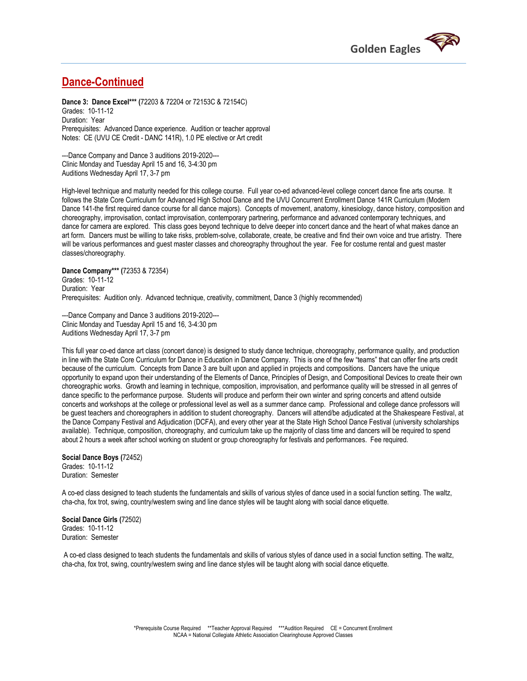

### **Dance-Continued**

**Dance 3: Dance Excel\*\*\* (**72203 & 72204 or 72153C & 72154C) Grades: 10-11-12 Duration: Year Prerequisites: Advanced Dance experience. Audition or teacher approval Notes: CE (UVU CE Credit - DANC 141R), 1.0 PE elective or Art credit

---Dance Company and Dance 3 auditions 2019-2020--- Clinic Monday and Tuesday April 15 and 16, 3-4:30 pm Auditions Wednesday April 17, 3-7 pm

High-level technique and maturity needed for this college course. Full year co-ed advanced-level college concert dance fine arts course. It follows the State Core Curriculum for Advanced High School Dance and the UVU Concurrent Enrollment Dance 141R Curriculum (Modern Dance 141-the first required dance course for all dance majors). Concepts of movement, anatomy, kinesiology, dance history, composition and choreography, improvisation, contact improvisation, contemporary partnering, performance and advanced contemporary techniques, and dance for camera are explored. This class goes beyond technique to delve deeper into concert dance and the heart of what makes dance an art form. Dancers must be willing to take risks, problem-solve, collaborate, create, be creative and find their own voice and true artistry. There will be various performances and guest master classes and choreography throughout the year. Fee for costume rental and guest master classes/choreography.

**Dance Company\*\*\* (**72353 & 72354) Grades: 10-11-12 Duration: Year Prerequisites: Audition only. Advanced technique, creativity, commitment, Dance 3 (highly recommended)

---Dance Company and Dance 3 auditions 2019-2020--- Clinic Monday and Tuesday April 15 and 16, 3-4:30 pm Auditions Wednesday April 17, 3-7 pm

This full year co-ed dance art class (concert dance) is designed to study dance technique, choreography, performance quality, and production in line with the State Core Curriculum for Dance in Education in Dance Company. This is one of the few "teams" that can offer fine arts credit because of the curriculum. Concepts from Dance 3 are built upon and applied in projects and compositions. Dancers have the unique opportunity to expand upon their understanding of the Elements of Dance, Principles of Design, and Compositional Devices to create their own choreographic works. Growth and learning in technique, composition, improvisation, and performance quality will be stressed in all genres of dance specific to the performance purpose. Students will produce and perform their own winter and spring concerts and attend outside concerts and workshops at the college or professional level as well as a summer dance camp. Professional and college dance professors will be guest teachers and choreographers in addition to student choreography. Dancers will attend/be adjudicated at the Shakespeare Festival, at the Dance Company Festival and Adjudication (DCFA), and every other year at the State High School Dance Festival (university scholarships available). Technique, composition, choreography, and curriculum take up the majority of class time and dancers will be required to spend about 2 hours a week after school working on student or group choreography for festivals and performances. Fee required.

### **Social Dance Boys (**72452) Grades: 10-11-12

Duration: Semester

A co-ed class designed to teach students the fundamentals and skills of various styles of dance used in a social function setting. The waltz, cha-cha, fox trot, swing, country/western swing and line dance styles will be taught along with social dance etiquette.

#### **Social Dance Girls (**72502) Grades: 10-11-12 Duration: Semester

A co-ed class designed to teach students the fundamentals and skills of various styles of dance used in a social function setting. The waltz, cha-cha, fox trot, swing, country/western swing and line dance styles will be taught along with social dance etiquette.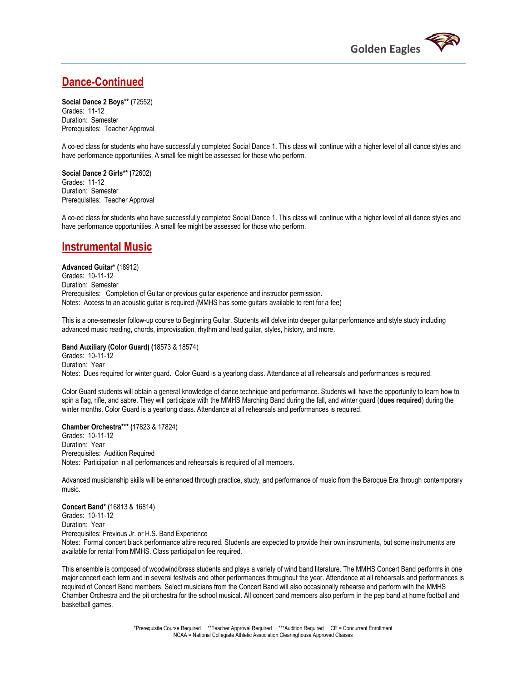

### **Dance-Continued**

**Social Dance 2 Boys\*\* (**72552) Grades: 11-12 Duration: Semester Prerequisites: Teacher Approval

A co-ed class for students who have successfully completed Social Dance 1. This class will continue with a higher level of all dance styles and have performance opportunities. A small fee might be assessed for those who perform.

**Social Dance 2 Girls\*\* (**72602) Grades: 11-12 Duration: Semester Prerequisites: Teacher Approval

A co-ed class for students who have successfully completed Social Dance 1. This class will continue with a higher level of all dance styles and have performance opportunities. A small fee might be assessed for those who perform.

### **Instrumental Music**

**Advanced Guitar\* (**18912) Grades: 10-11-12 Duration: Semester Prerequisites: Completion of Guitar or previous guitar experience and instructor permission. Notes: Access to an acoustic guitar is required (MMHS has some guitars available to rent for a fee)

This is a one-semester follow-up course to Beginning Guitar. Students will delve into deeper guitar performance and style study including advanced music reading, chords, improvisation, rhythm and lead guitar, styles, history, and more.

#### **Band Auxiliary (Color Guard) (**18573 & 18574)

Grades: 10-11-12 Duration: Year Notes: Dues required for winter guard. Color Guard is a yearlong class. Attendance at all rehearsals and performances is required.

Color Guard students will obtain a general knowledge of dance technique and performance. Students will have the opportunity to learn how to spin a flag, rifle, and sabre. They will participate with the MMHS Marching Band during the fall, and winter guard (**dues required**) during the winter months. Color Guard is a yearlong class. Attendance at all rehearsals and performances is required.

### **Chamber Orchestra\*\*\* (**17823 & 17824)

Grades: 10-11-12 Duration: Year Prerequisites: Audition Required Notes: Participation in all performances and rehearsals is required of all members.

Advanced musicianship skills will be enhanced through practice, study, and performance of music from the Baroque Era through contemporary music.

### **Concert Band\* (**16813 & 16814)

Grades: 10-11-12

Duration: Year Prerequisites: Previous Jr. or H.S. Band Experience

Notes: Formal concert black performance attire required. Students are expected to provide their own instruments, but some instruments are available for rental from MMHS. Class participation fee required.

This ensemble is composed of woodwind/brass students and plays a variety of wind band literature. The MMHS Concert Band performs in one major concert each term and in several festivals and other performances throughout the year. Attendance at all rehearsals and performances is required of Concert Band members. Select musicians from the Concert Band will also occasionally rehearse and perform with the MMHS Chamber Orchestra and the pit orchestra for the school musical. All concert band members also perform in the pep band at home football and basketball games.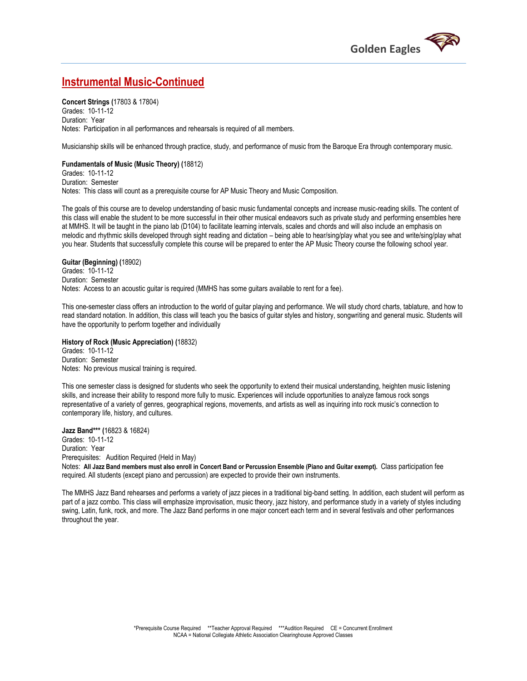

### **Instrumental Music-Continued**

**Concert Strings (**17803 & 17804) Grades: 10-11-12 Duration: Year Notes: Participation in all performances and rehearsals is required of all members.

Musicianship skills will be enhanced through practice, study, and performance of music from the Baroque Era through contemporary music.

**Fundamentals of Music (Music Theory) (**18812) Grades: 10-11-12 Duration: Semester Notes: This class will count as a prerequisite course for AP Music Theory and Music Composition.

The goals of this course are to develop understanding of basic music fundamental concepts and increase music-reading skills. The content of this class will enable the student to be more successful in their other musical endeavors such as private study and performing ensembles here at MMHS. It will be taught in the piano lab (D104) to facilitate learning intervals, scales and chords and will also include an emphasis on melodic and rhythmic skills developed through sight reading and dictation – being able to hear/sing/play what you see and write/sing/play what you hear. Students that successfully complete this course will be prepared to enter the AP Music Theory course the following school year.

#### **Guitar (Beginning) (**18902)

Grades: 10-11-12 Duration: Semester Notes: Access to an acoustic guitar is required (MMHS has some guitars available to rent for a fee).

This one-semester class offers an introduction to the world of guitar playing and performance. We will study chord charts, tablature, and how to read standard notation. In addition, this class will teach you the basics of guitar styles and history, songwriting and general music. Students will have the opportunity to perform together and individually

#### **History of Rock (Music Appreciation) (**18832)

Grades: 10-11-12 Duration: Semester Notes: No previous musical training is required.

This one semester class is designed for students who seek the opportunity to extend their musical understanding, heighten music listening skills, and increase their ability to respond more fully to music. Experiences will include opportunities to analyze famous rock songs representative of a variety of genres, geographical regions, movements, and artists as well as inquiring into rock music's connection to contemporary life, history, and cultures.

**Jazz Band\*\*\* (**16823 & 16824) Grades: 10-11-12 Duration: Year Prerequisites: Audition Required (Held in May) Notes: **All Jazz Band members must also enroll in Concert Band or Percussion Ensemble (Piano and Guitar exempt).** Class participation fee required. All students (except piano and percussion) are expected to provide their own instruments.

The MMHS Jazz Band rehearses and performs a variety of jazz pieces in a traditional big-band setting. In addition, each student will perform as part of a jazz combo. This class will emphasize improvisation, music theory, jazz history, and performance study in a variety of styles including swing, Latin, funk, rock, and more. The Jazz Band performs in one major concert each term and in several festivals and other performances throughout the year.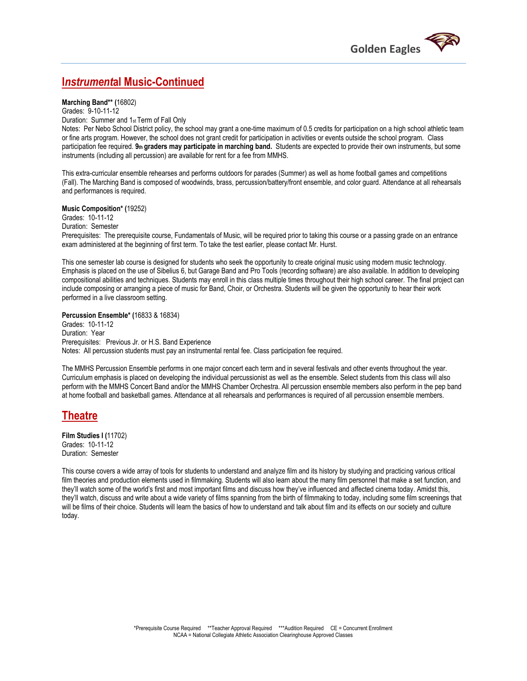

### **I***nstrument***al Music-Continued**

**Marching Band\*\* (**16802)

Grades: 9-10-11-12 Duration: Summer and 1st Term of Fall Only

Notes: Per Nebo School District policy, the school may grant a one-time maximum of 0.5 credits for participation on a high school athletic team or fine arts program. However, the school does not grant credit for participation in activities or events outside the school program. Class participation fee required. **9th graders may participate in marching band.** Students are expected to provide their own instruments, but some instruments (including all percussion) are available for rent for a fee from MMHS.

This extra-curricular ensemble rehearses and performs outdoors for parades (Summer) as well as home football games and competitions (Fall). The Marching Band is composed of woodwinds, brass, percussion/battery/front ensemble, and color guard. Attendance at all rehearsals and performances is required.

**Music Composition\* (**19252)

Grades: 10-11-12 Duration: Semester

Prerequisites: The prerequisite course, Fundamentals of Music, will be required prior to taking this course or a passing grade on an entrance exam administered at the beginning of first term. To take the test earlier, please contact Mr. Hurst.

This one semester lab course is designed for students who seek the opportunity to create original music using modern music technology. Emphasis is placed on the use of Sibelius 6, but Garage Band and Pro Tools (recording software) are also available. In addition to developing compositional abilities and techniques. Students may enroll in this class multiple times throughout their high school career. The final project can include composing or arranging a piece of music for Band, Choir, or Orchestra. Students will be given the opportunity to hear their work performed in a live classroom setting.

**Percussion Ensemble\* (**16833 & 16834) Grades: 10-11-12 Duration: Year Prerequisites: Previous Jr. or H.S. Band Experience Notes: All percussion students must pay an instrumental rental fee. Class participation fee required.

The MMHS Percussion Ensemble performs in one major concert each term and in several festivals and other events throughout the year. Curriculum emphasis is placed on developing the individual percussionist as well as the ensemble. Select students from this class will also perform with the MMHS Concert Band and/or the MMHS Chamber Orchestra. All percussion ensemble members also perform in the pep band at home football and basketball games. Attendance at all rehearsals and performances is required of all percussion ensemble members.

### **Theatre**

**Film Studies I (**11702) Grades: 10-11-12 Duration: Semester

This course covers a wide array of tools for students to understand and analyze film and its history by studying and practicing various critical film theories and production elements used in filmmaking. Students will also learn about the many film personnel that make a set function, and they'll watch some of the world's first and most important films and discuss how they've influenced and affected cinema today. Amidst this, they'll watch, discuss and write about a wide variety of films spanning from the birth of filmmaking to today, including some film screenings that will be films of their choice. Students will learn the basics of how to understand and talk about film and its effects on our society and culture today.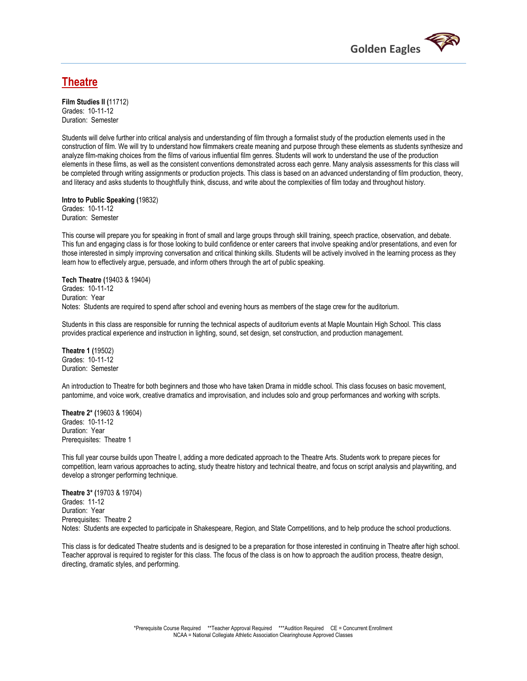

### **Theatre**

**Film Studies II (**11712) Grades: 10-11-12 Duration: Semester

Students will delve further into critical analysis and understanding of film through a formalist study of the production elements used in the construction of film. We will try to understand how filmmakers create meaning and purpose through these elements as students synthesize and analyze film-making choices from the films of various influential film genres. Students will work to understand the use of the production elements in these films, as well as the consistent conventions demonstrated across each genre. Many analysis assessments for this class will be completed through writing assignments or production projects. This class is based on an advanced understanding of film production, theory, and literacy and asks students to thoughtfully think, discuss, and write about the complexities of film today and throughout history.

**Intro to Public Speaking (**19832) Grades: 10-11-12 Duration: Semester

This course will prepare you for speaking in front of small and large groups through skill training, speech practice, observation, and debate. This fun and engaging class is for those looking to build confidence or enter careers that involve speaking and/or presentations, and even for those interested in simply improving conversation and critical thinking skills. Students will be actively involved in the learning process as they learn how to effectively argue, persuade, and inform others through the art of public speaking.

### **Tech Theatre (**19403 & 19404) Grades: 10-11-12 Duration: Year

Notes: Students are required to spend after school and evening hours as members of the stage crew for the auditorium.

Students in this class are responsible for running the technical aspects of auditorium events at Maple Mountain High School. This class provides practical experience and instruction in lighting, sound, set design, set construction, and production management.

**Theatre 1 (**19502) Grades: 10-11-12 Duration: Semester

An introduction to Theatre for both beginners and those who have taken Drama in middle school. This class focuses on basic movement, pantomime, and voice work, creative dramatics and improvisation, and includes solo and group performances and working with scripts.

**Theatre 2\* (**19603 & 19604) Grades: 10-11-12 Duration: Year Prerequisites: Theatre 1

This full year course builds upon Theatre I, adding a more dedicated approach to the Theatre Arts. Students work to prepare pieces for competition, learn various approaches to acting, study theatre history and technical theatre, and focus on script analysis and playwriting, and develop a stronger performing technique.

**Theatre 3\* (**19703 & 19704) Grades: 11-12 Duration: Year Prerequisites: Theatre 2 Notes: Students are expected to participate in Shakespeare, Region, and State Competitions, and to help produce the school productions.

This class is for dedicated Theatre students and is designed to be a preparation for those interested in continuing in Theatre after high school. Teacher approval is required to register for this class. The focus of the class is on how to approach the audition process, theatre design, directing, dramatic styles, and performing.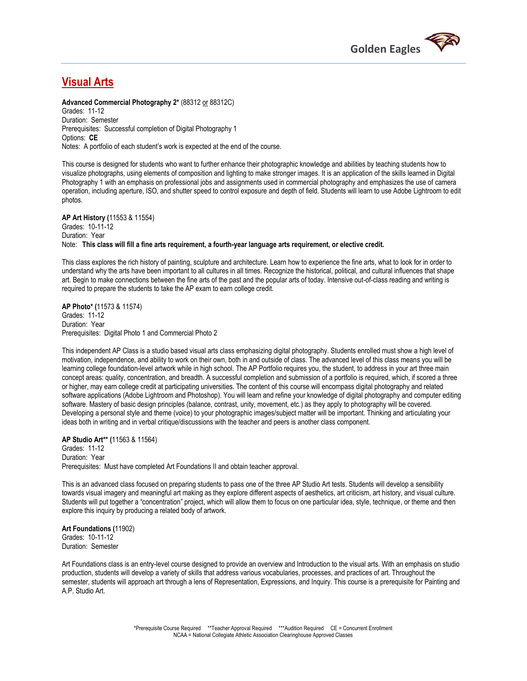

### **Visual Arts**

**Advanced Commercial Photography 2\*** (88312 or 88312C)

Grades: 11-12 Duration: Semester Prerequisites: Successful completion of Digital Photography 1 Options: **CE** Notes: A portfolio of each student's work is expected at the end of the course.

This course is designed for students who want to further enhance their photographic knowledge and abilities by teaching students how to visualize photographs, using elements of composition and lighting to make stronger images. It is an application of the skills learned in Digital Photography 1 with an emphasis on professional jobs and assignments used in commercial photography and emphasizes the use of camera operation, including aperture, ISO, and shutter speed to control exposure and depth of field. Students will learn to use Adobe Lightroom to edit photos.

**AP Art History (**11553 & 11554) Grades: 10-11-12 Duration: Year Note: **This class will fill a fine arts requirement, a fourth-year language arts requirement, or elective credit.** 

This class explores the rich history of painting, sculpture and architecture. Learn how to experience the fine arts, what to look for in order to understand why the arts have been important to all cultures in all times. Recognize the historical, political, and cultural influences that shape art. Begin to make connections between the fine arts of the past and the popular arts of today. Intensive out-of-class reading and writing is required to prepare the students to take the AP exam to earn college credit.

**AP Photo\* (**11573 & 11574) Grades: 11-12 Duration: Year Prerequisites: Digital Photo 1 and Commercial Photo 2

This independent AP Class is a studio based visual arts class emphasizing digital photography. Students enrolled must show a high level of motivation, independence, and ability to work on their own, both in and outside of class. The advanced level of this class means you will be learning college foundation-level artwork while in high school. The AP Portfolio requires you, the student, to address in your art three main concept areas: quality, concentration, and breadth. A successful completion and submission of a portfolio is required, which, if scored a three or higher, may earn college credit at participating universities. The content of this course will encompass digital photography and related software applications (Adobe Lightroom and Photoshop). You will learn and refine your knowledge of digital photography and computer editing software. Mastery of basic design principles (balance, contrast, unity, movement, etc.) as they apply to photography will be covered. Developing a personal style and theme (voice) to your photographic images/subject matter will be important. Thinking and articulating your ideas both in writing and in verbal critique/discussions with the teacher and peers is another class component.

**AP Studio Art\*\* (**11563 & 11564) Grades: 11-12 Duration: Year Prerequisites: Must have completed Art Foundations II and obtain teacher approval.

This is an advanced class focused on preparing students to pass one of the three AP Studio Art tests. Students will develop a sensibility towards visual imagery and meaningful art making as they explore different aspects of aesthetics, art criticism, art history, and visual culture. Students will put together a "concentration" project, which will allow them to focus on one particular idea, style, technique, or theme and then explore this inquiry by producing a related body of artwork.

**Art Foundations (**11902) Grades: 10-11-12 Duration: Semester

Art Foundations class is an entry-level course designed to provide an overview and Introduction to the visual arts. With an emphasis on studio production, students will develop a variety of skills that address various vocabularies, processes, and practices of art. Throughout the semester, students will approach art through a lens of Representation, Expressions, and Inquiry. This course is a prerequisite for Painting and A.P. Studio Art.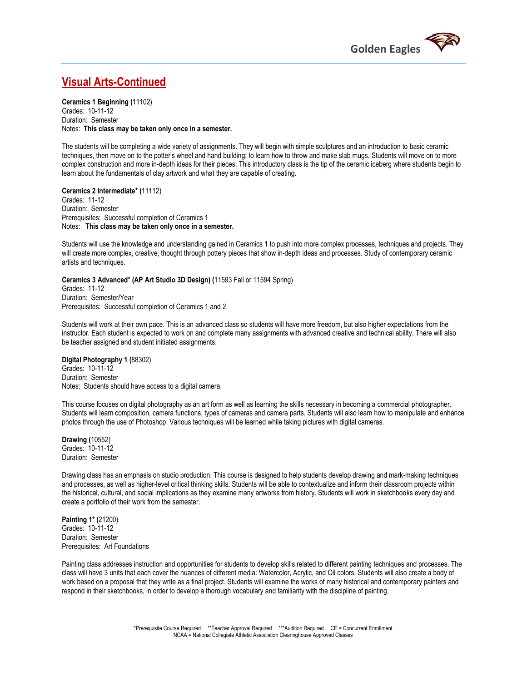

### **Visual Arts-Continued**

**Ceramics 1 Beginning (**11102) Grades: 10-11-12 Duration: Semester Notes: **This class may be taken only once in a semester.** 

The students will be completing a wide variety of assignments. They will begin with simple sculptures and an introduction to basic ceramic techniques, then move on to the potter's wheel and hand building; to learn how to throw and make slab mugs. Students will move on to more complex construction and more in-depth ideas for their pieces. This introductory class is the tip of the ceramic iceberg where students begin to learn about the fundamentals of clay artwork and what they are capable of creating.

**Ceramics 2 Intermediate\* (**11112) Grades: 11-12 Duration: Semester Prerequisites: Successful completion of Ceramics 1 Notes: **This class may be taken only once in a semester.** 

Students will use the knowledge and understanding gained in Ceramics 1 to push into more complex processes, techniques and projects. They will create more complex, creative, thought through pottery pieces that show in-depth ideas and processes. Study of contemporary ceramic artists and techniques.

**Ceramics 3 Advanced\* (AP Art Studio 3D Design) (**11593 Fall or 11594 Spring) Grades: 11-12 Duration: Semester/Year

Prerequisites: Successful completion of Ceramics 1 and 2

Students will work at their own pace. This is an advanced class so students will have more freedom, but also higher expectations from the instructor. Each student is expected to work on and complete many assignments with advanced creative and technical ability. There will also be teacher assigned and student initiated assignments.

**Digital Photography 1 (**88302)

Grades: 10-11-12 Duration: Semester Notes: Students should have access to a digital camera.

This course focuses on digital photography as an art form as well as learning the skills necessary in becoming a commercial photographer. Students will learn composition, camera functions, types of cameras and camera parts. Students will also learn how to manipulate and enhance photos through the use of Photoshop. Various techniques will be learned while taking pictures with digital cameras.

**Drawing (**10552) Grades: 10-11-12 Duration: Semester

Drawing class has an emphasis on studio production. This course is designed to help students develop drawing and mark-making techniques and processes, as well as higher-level critical thinking skills. Students will be able to contextualize and inform their classroom projects within the historical, cultural, and social implications as they examine many artworks from history. Students will work in sketchbooks every day and create a portfolio of their work from the semester.

**Painting 1\* (**21200) Grades: 10-11-12 Duration: Semester Prerequisites: Art Foundations

Painting class addresses instruction and opportunities for students to develop skills related to different painting techniques and processes. The class will have 3 units that each cover the nuances of different media: Watercolor, Acrylic, and Oil colors. Students will also create a body of work based on a proposal that they write as a final project. Students will examine the works of many historical and contemporary painters and respond in their sketchbooks, in order to develop a thorough vocabulary and familiarity with the discipline of painting.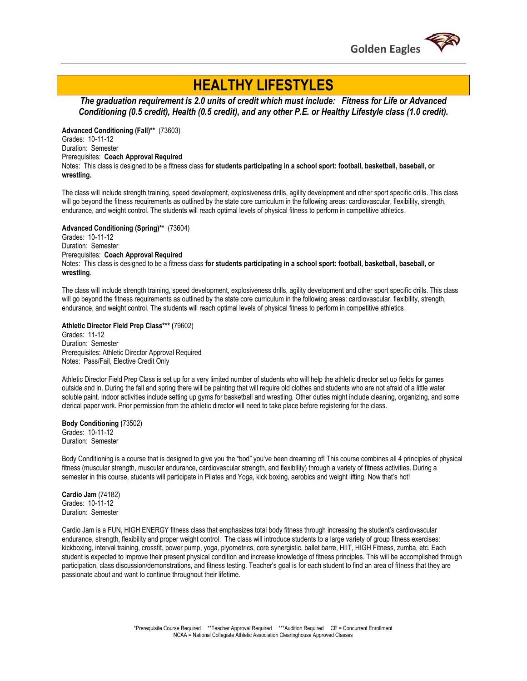

## **HEALTHY LIFESTYLES**

*The graduation requirement is 2.0 units of credit which must include: Fitness for Life or Advanced Conditioning (0.5 credit), Health (0.5 credit), and any other P.E. or Healthy Lifestyle class (1.0 credit).*

**Advanced Conditioning (Fall)\*\*** (73603) Grades: 10-11-12 Duration: Semester Prerequisites: **Coach Approval Required** Notes:This class is designed to be a fitness class **for students participating in a school sport: football, basketball, baseball, or wrestling.** 

The class will include strength training, speed development, explosiveness drills, agility development and other sport specific drills. This class will go beyond the fitness requirements as outlined by the state core curriculum in the following areas: cardiovascular, flexibility, strength, endurance, and weight control. The students will reach optimal levels of physical fitness to perform in competitive athletics.

**Advanced Conditioning (Spring)\*\*** (73604) Grades: 10-11-12 Duration: Semester Prerequisites: **Coach Approval Required** Notes: This class is designed to be a fitness class **for students participating in a school sport: football, basketball, baseball, or wrestling**.

The class will include strength training, speed development, explosiveness drills, agility development and other sport specific drills. This class will go beyond the fitness requirements as outlined by the state core curriculum in the following areas: cardiovascular, flexibility, strength, endurance, and weight control. The students will reach optimal levels of physical fitness to perform in competitive athletics.

**Athletic Director Field Prep Class\*\*\* (**79602) Grades: 11-12 Duration: Semester Prerequisites: Athletic Director Approval Required Notes: Pass/Fail, Elective Credit Only

Athletic Director Field Prep Class is set up for a very limited number of students who will help the athletic director set up fields for games outside and in. During the fall and spring there will be painting that will require old clothes and students who are not afraid of a little water soluble paint. Indoor activities include setting up gyms for basketball and wrestling. Other duties might include cleaning, organizing, and some clerical paper work. Prior permission from the athletic director will need to take place before registering for the class.

**Body Conditioning (**73502) Grades: 10-11-12 Duration: Semester

Body Conditioning is a course that is designed to give you the "bod" you've been dreaming of! This course combines all 4 principles of physical fitness (muscular strength, muscular endurance, cardiovascular strength, and flexibility) through a variety of fitness activities. During a semester in this course, students will participate in Pilates and Yoga, kick boxing, aerobics and weight lifting. Now that's hot!

**Cardio Jam** (74182) Grades: 10-11-12 Duration: Semester

Cardio Jam is a FUN, HIGH ENERGY fitness class that emphasizes total body fitness through increasing the student's cardiovascular endurance, strength, flexibility and proper weight control. The class will introduce students to a large variety of group fitness exercises: kickboxing, interval training, crossfit, power pump, yoga, plyometrics, core synergistic, ballet barre, HIIT, HIGH Fitness, zumba, etc. Each student is expected to improve their present physical condition and increase knowledge of fitness principles. This will be accomplished through participation, class discussion/demonstrations, and fitness testing. Teacher's goal is for each student to find an area of fitness that they are passionate about and want to continue throughout their lifetime.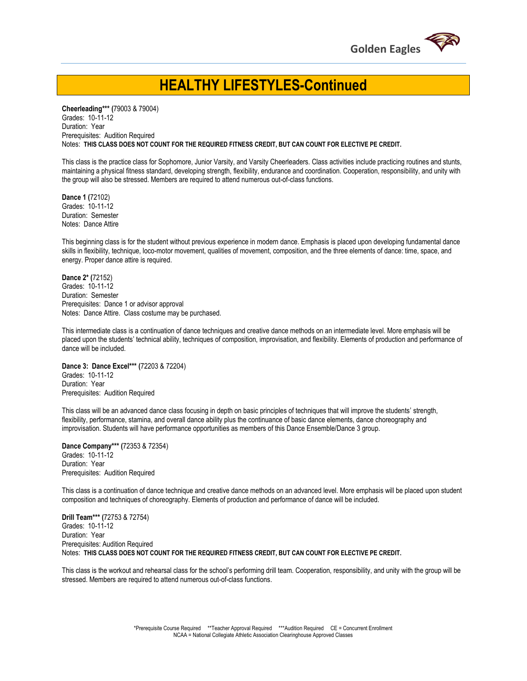

## **HEALTHY LIFESTYLES-Continued**

**Cheerleading\*\*\* (**79003 & 79004) Grades: 10-11-12 Duration: Year Prerequisites: Audition Required Notes: **THIS CLASS DOES NOT COUNT FOR THE REQUIRED FITNESS CREDIT, BUT CAN COUNT FOR ELECTIVE PE CREDIT.** 

This class is the practice class for Sophomore, Junior Varsity, and Varsity Cheerleaders. Class activities include practicing routines and stunts, maintaining a physical fitness standard, developing strength, flexibility, endurance and coordination. Cooperation, responsibility, and unity with the group will also be stressed. Members are required to attend numerous out-of-class functions.

**Dance 1 (**72102) Grades: 10-11-12 Duration: Semester Notes: Dance Attire

This beginning class is for the student without previous experience in modern dance. Emphasis is placed upon developing fundamental dance skills in flexibility, technique, loco-motor movement, qualities of movement, composition, and the three elements of dance: time, space, and energy. Proper dance attire is required.

**Dance 2\* (**72152) Grades: 10-11-12 Duration: Semester Prerequisites: Dance 1 or advisor approval Notes: Dance Attire. Class costume may be purchased.

This intermediate class is a continuation of dance techniques and creative dance methods on an intermediate level. More emphasis will be placed upon the students' technical ability, techniques of composition, improvisation, and flexibility. Elements of production and performance of dance will be included.

**Dance 3: Dance Excel\*\*\* (**72203 & 72204) Grades: 10-11-12 Duration: Year Prerequisites: Audition Required

This class will be an advanced dance class focusing in depth on basic principles of techniques that will improve the students' strength, flexibility, performance, stamina, and overall dance ability plus the continuance of basic dance elements, dance choreography and improvisation. Students will have performance opportunities as members of this Dance Ensemble/Dance 3 group.

**Dance Company\*\*\* (**72353 & 72354) Grades: 10-11-12 Duration: Year Prerequisites: Audition Required

This class is a continuation of dance technique and creative dance methods on an advanced level. More emphasis will be placed upon student composition and techniques of choreography. Elements of production and performance of dance will be included.

**Drill Team\*\*\* (**72753 & 72754) Grades: 10-11-12 Duration: Year Prerequisites: Audition Required Notes: **THIS CLASS DOES NOT COUNT FOR THE REQUIRED FITNESS CREDIT, BUT CAN COUNT FOR ELECTIVE PE CREDIT.** 

This class is the workout and rehearsal class for the school's performing drill team. Cooperation, responsibility, and unity with the group will be stressed. Members are required to attend numerous out-of-class functions.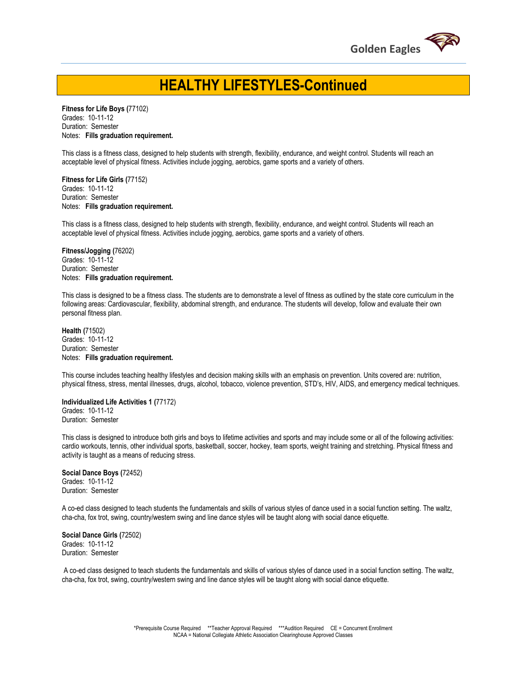

## **HEALTHY LIFESTYLES-Continued**

**Fitness for Life Boys (**77102) Grades: 10-11-12 Duration: Semester Notes: **Fills graduation requirement.** 

This class is a fitness class, designed to help students with strength, flexibility, endurance, and weight control. Students will reach an acceptable level of physical fitness. Activities include jogging, aerobics, game sports and a variety of others.

**Fitness for Life Girls (**77152) Grades: 10-11-12 Duration: Semester Notes: **Fills graduation requirement.** 

This class is a fitness class, designed to help students with strength, flexibility, endurance, and weight control. Students will reach an acceptable level of physical fitness. Activities include jogging, aerobics, game sports and a variety of others.

**Fitness/Jogging (**76202) Grades: 10-11-12 Duration: Semester Notes: **Fills graduation requirement.** 

This class is designed to be a fitness class. The students are to demonstrate a level of fitness as outlined by the state core curriculum in the following areas: Cardiovascular, flexibility, abdominal strength, and endurance. The students will develop, follow and evaluate their own personal fitness plan.

**Health (**71502) Grades: 10-11-12 Duration: Semester Notes: **Fills graduation requirement.** 

This course includes teaching healthy lifestyles and decision making skills with an emphasis on prevention. Units covered are: nutrition, physical fitness, stress, mental illnesses, drugs, alcohol, tobacco, violence prevention, STD's, HIV, AIDS, and emergency medical techniques.

**Individualized Life Activities 1 (**77172) Grades: 10-11-12 Duration: Semester

This class is designed to introduce both girls and boys to lifetime activities and sports and may include some or all of the following activities: cardio workouts, tennis, other individual sports, basketball, soccer, hockey, team sports, weight training and stretching. Physical fitness and activity is taught as a means of reducing stress.

**Social Dance Boys (**72452) Grades: 10-11-12 Duration: Semester

A co-ed class designed to teach students the fundamentals and skills of various styles of dance used in a social function setting. The waltz, cha-cha, fox trot, swing, country/western swing and line dance styles will be taught along with social dance etiquette.

**Social Dance Girls (**72502) Grades: 10-11-12 Duration: Semester

A co-ed class designed to teach students the fundamentals and skills of various styles of dance used in a social function setting. The waltz, cha-cha, fox trot, swing, country/western swing and line dance styles will be taught along with social dance etiquette.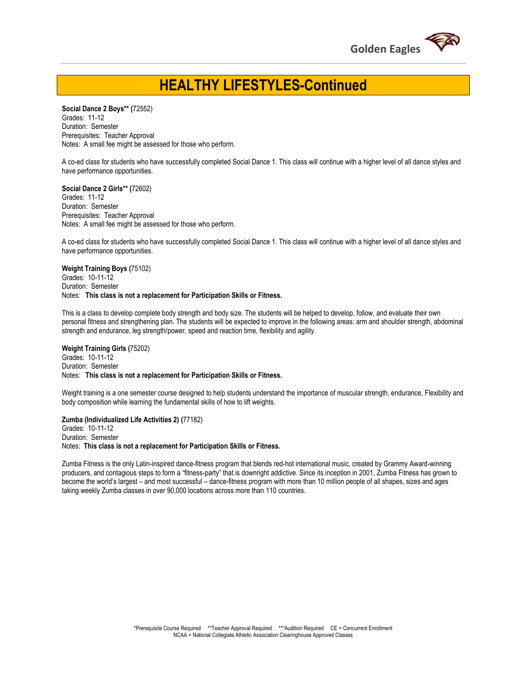

## **HEALTHY LIFESTYLES-Continued**

**Social Dance 2 Boys\*\* (**72552) Grades: 11-12 Duration: Semester Prerequisites: Teacher Approval Notes: A small fee might be assessed for those who perform.

A co-ed class for students who have successfully completed Social Dance 1. This class will continue with a higher level of all dance styles and have performance opportunities.

**Social Dance 2 Girls\*\* (**72602) Grades: 11-12 Duration: Semester Prerequisites: Teacher Approval Notes: A small fee might be assessed for those who perform.

A co-ed class for students who have successfully completed Social Dance 1. This class will continue with a higher level of all dance styles and have performance opportunities.

**Weight Training Boys (**75102) Grades: 10-11-12 Duration: Semester Notes: **This class is not a replacement for Participation Skills or Fitness.** 

This is a class to develop complete body strength and body size. The students will be helped to develop, follow, and evaluate their own personal fitness and strengthening plan. The students will be expected to improve in the following areas: arm and shoulder strength, abdominal strength and endurance, leg strength/power, speed and reaction time, flexibility and agility.

**Weight Training Girls (**75202) Grades: 10-11-12 Duration: Semester Notes: **This class is not a replacement for Participation Skills or Fitness.** 

Weight training is a one semester course designed to help students understand the importance of muscular strength, endurance, Flexibility and body composition while learning the fundamental skills of how to lift weights.

#### **Zumba (Individualized Life Activities 2) (**77182)

Grades: 10-11-12 Duration: Semester Notes: **This class is not a replacement for Participation Skills or Fitness.** 

Zumba Fitness is the only Latin-inspired dance-fitness program that blends red-hot international music, created by Grammy Award-winning producers, and contagious steps to form a "fitness-party" that is downright addictive. Since its inception in 2001, Zumba Fitness has grown to become the world's largest – and most successful – dance-fitness program with more than 10 million people of all shapes, sizes and ages taking weekly Zumba classes in over 90,000 locations across more than 110 countries.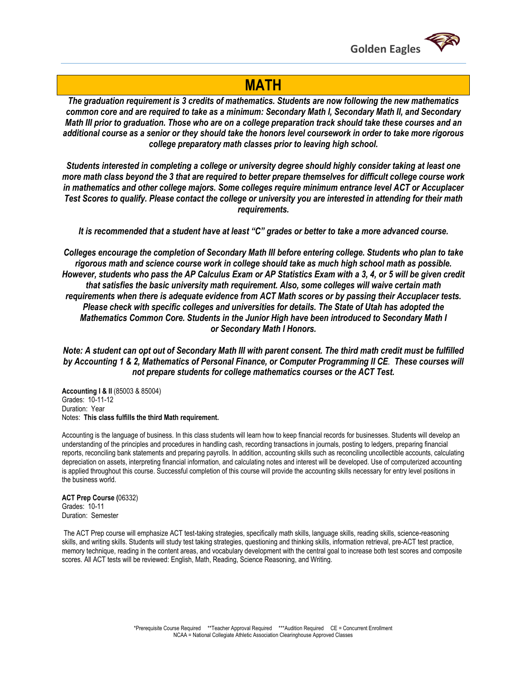

### **MATH**

*The graduation requirement is 3 credits of mathematics. Students are now following the new mathematics common core and are required to take as a minimum: Secondary Math I, Secondary Math II, and Secondary Math III prior to graduation. Those who are on a college preparation track should take these courses and an additional course as a senior or they should take the honors level coursework in order to take more rigorous college preparatory math classes prior to leaving high school.*

*Students interested in completing a college or university degree should highly consider taking at least one more math class beyond the 3 that are required to better prepare themselves for difficult college course work in mathematics and other college majors. Some colleges require minimum entrance level ACT or Accuplacer Test Scores to qualify. Please contact the college or university you are interested in attending for their math requirements.*

*It is recommended that a student have at least "C" grades or better to take a more advanced course.*

*Colleges encourage the completion of Secondary Math III before entering college. Students who plan to take rigorous math and science course work in college should take as much high school math as possible. However, students who pass the AP Calculus Exam or AP Statistics Exam with a 3, 4, or 5 will be given credit that satisfies the basic university math requirement. Also, some colleges will waive certain math requirements when there is adequate evidence from ACT Math scores or by passing their Accuplacer tests. Please check with specific colleges and universities for details. The State of Utah has adopted the Mathematics Common Core. Students in the Junior High have been introduced to Secondary Math I or Secondary Math I Honors.*

*Note: A student can opt out of Secondary Math III with parent consent. The third math credit must be fulfilled by Accounting 1 & 2, Mathematics of Personal Finance, or Computer Programming II CE. These courses will not prepare students for college mathematics courses or the ACT Test.*

**Accounting I & II** (85003 & 85004) Grades: 10-11-12 Duration: Year Notes: **This class fulfills the third Math requirement.** 

Accounting is the language of business. In this class students will learn how to keep financial records for businesses. Students will develop an understanding of the principles and procedures in handling cash, recording transactions in journals, posting to ledgers, preparing financial reports, reconciling bank statements and preparing payrolls. In addition, accounting skills such as reconciling uncollectible accounts, calculating depreciation on assets, interpreting financial information, and calculating notes and interest will be developed. Use of computerized accounting is applied throughout this course. Successful completion of this course will provide the accounting skills necessary for entry level positions in the business world.

**ACT Prep Course (**06332) Grades: 10-11 Duration: Semester

The ACT Prep course will emphasize ACT test-taking strategies, specifically math skills, language skills, reading skills, science-reasoning skills, and writing skills. Students will study test taking strategies, questioning and thinking skills, information retrieval, pre-ACT test practice, memory technique, reading in the content areas, and vocabulary development with the central goal to increase both test scores and composite scores. All ACT tests will be reviewed: English, Math, Reading, Science Reasoning, and Writing.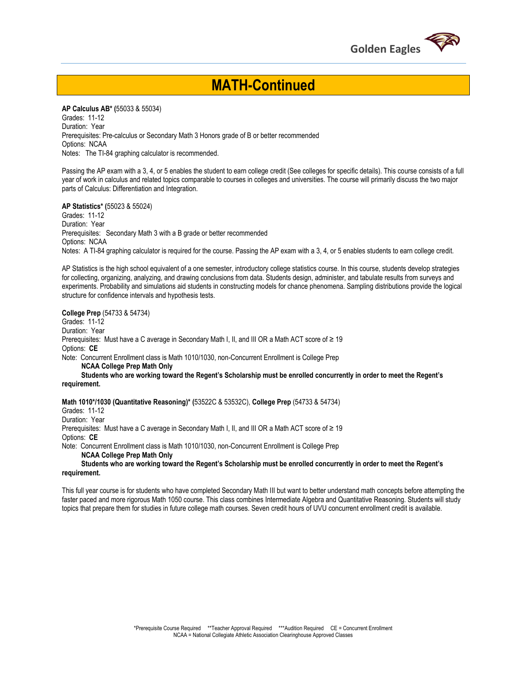

## **MATH-Continued**

**AP Calculus AB\* (**55033 & 55034) Grades: 11-12 Duration: Year Prerequisites: Pre-calculus or Secondary Math 3 Honors grade of B or better recommended Options: NCAA Notes: The TI-84 graphing calculator is recommended.

Passing the AP exam with a 3, 4, or 5 enables the student to earn college credit (See colleges for specific details). This course consists of a full year of work in calculus and related topics comparable to courses in colleges and universities. The course will primarily discuss the two major parts of Calculus: Differentiation and Integration.

**AP Statistics\* (**55023 & 55024)

Grades: 11-12 Duration: Year Prerequisites: Secondary Math 3 with a B grade or better recommended Options: NCAA Notes: A TI-84 graphing calculator is required for the course. Passing the AP exam with a 3, 4, or 5 enables students to earn college credit.

AP Statistics is the high school equivalent of a one semester, introductory college statistics course. In this course, students develop strategies for collecting, organizing, analyzing, and drawing conclusions from data. Students design, administer, and tabulate results from surveys and experiments. Probability and simulations aid students in constructing models for chance phenomena. Sampling distributions provide the logical structure for confidence intervals and hypothesis tests.

**College Prep** (54733 & 54734)

Grades: 11-12 Duration: Year Prerequisites: Must have a C average in Secondary Math I, II, and III OR a Math ACT score of ≥ 19 Options: **CE**

Note: Concurrent Enrollment class is Math 1010/1030, non-Concurrent Enrollment is College Prep

 **NCAA College Prep Math Only** 

 **Students who are working toward the Regent's Scholarship must be enrolled concurrently in order to meet the Regent's requirement.** 

**Math 1010\*/1030 (Quantitative Reasoning)\* (**53522C & 53532C), **College Prep** (54733 & 54734)

Grades: 11-12

Duration: Year

Prerequisites: Must have a C average in Secondary Math I, II, and III OR a Math ACT score of ≥ 19 Options: **CE**

Note: Concurrent Enrollment class is Math 1010/1030, non-Concurrent Enrollment is College Prep  **NCAA College Prep Math Only** 

 **Students who are working toward the Regent's Scholarship must be enrolled concurrently in order to meet the Regent's requirement.** 

This full year course is for students who have completed Secondary Math III but want to better understand math concepts before attempting the faster paced and more rigorous Math 1050 course. This class combines Intermediate Algebra and Quantitative Reasoning. Students will study topics that prepare them for studies in future college math courses. Seven credit hours of UVU concurrent enrollment credit is available.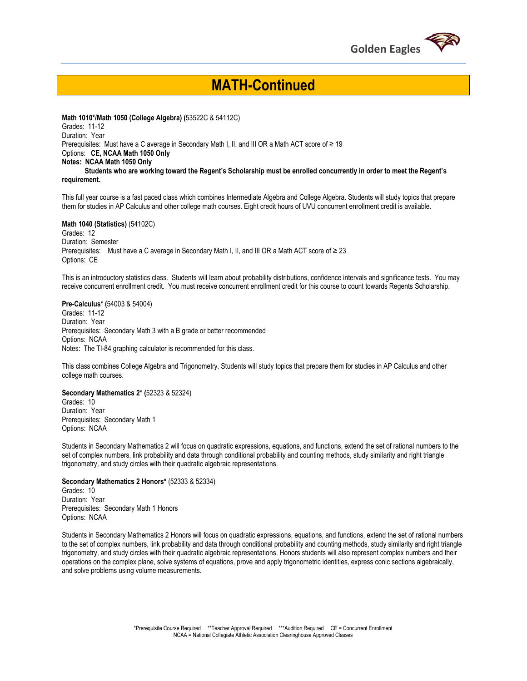

## **MATH-Continued**

**Math 1010\*/Math 1050 (College Algebra) (**53522C & 54112C) Grades: 11-12 Duration: Year Prerequisites: Must have a C average in Secondary Math I, II, and III OR a Math ACT score of  $\geq 19$ Options: **CE, NCAA Math 1050 Only Notes: NCAA Math 1050 Only Students who are working toward the Regent's Scholarship must be enrolled concurrently in order to meet the Regent's requirement.** 

This full year course is a fast paced class which combines Intermediate Algebra and College Algebra. Students will study topics that prepare them for studies in AP Calculus and other college math courses. Eight credit hours of UVU concurrent enrollment credit is available.

**Math 1040 (Statistics)** (54102C) Grades: 12 Duration: Semester Prerequisites: Must have a C average in Secondary Math I, II, and III OR a Math ACT score of ≥ 23 Options: CE

This is an introductory statistics class. Students will learn about probability distributions, confidence intervals and significance tests. You may receive concurrent enrollment credit. You must receive concurrent enrollment credit for this course to count towards Regents Scholarship.

#### **Pre-Calculus\* (**54003 & 54004)

Grades: 11-12 Duration: Year Prerequisites: Secondary Math 3 with a B grade or better recommended Options: NCAA Notes: The TI-84 graphing calculator is recommended for this class.

This class combines College Algebra and Trigonometry. Students will study topics that prepare them for studies in AP Calculus and other college math courses.

#### **Secondary Mathematics 2\* (**52323 & 52324)

Grades: 10 Duration: Year Prerequisites: Secondary Math 1 Options: NCAA

Students in Secondary Mathematics 2 will focus on quadratic expressions, equations, and functions, extend the set of rational numbers to the set of complex numbers, link probability and data through conditional probability and counting methods, study similarity and right triangle trigonometry, and study circles with their quadratic algebraic representations.

#### **Secondary Mathematics 2 Honors\*** (52333 & 52334)

Grades: 10 Duration: Year Prerequisites: Secondary Math 1 Honors Options: NCAA

Students in Secondary Mathematics 2 Honors will focus on quadratic expressions, equations, and functions, extend the set of rational numbers to the set of complex numbers, link probability and data through conditional probability and counting methods, study similarity and right triangle trigonometry, and study circles with their quadratic algebraic representations. Honors students will also represent complex numbers and their operations on the complex plane, solve systems of equations, prove and apply trigonometric identities, express conic sections algebraically, and solve problems using volume measurements.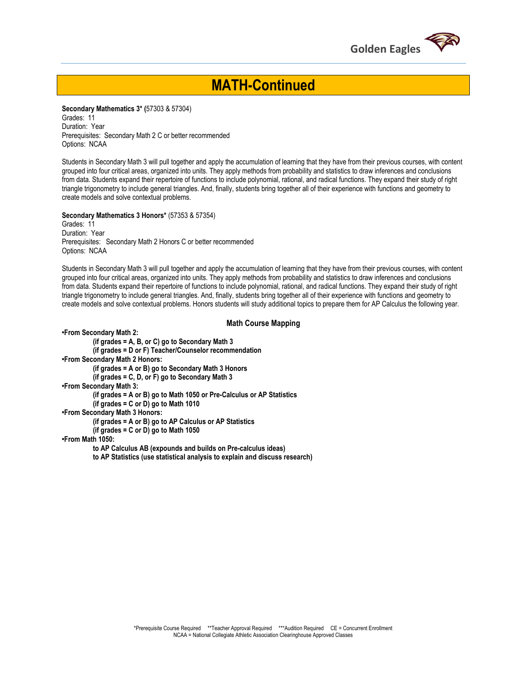

## **MATH-Continued**

**Secondary Mathematics 3\* (**57303 & 57304)

Grades: 11 Duration: Year Prerequisites: Secondary Math 2 C or better recommended Options: NCAA

Students in Secondary Math 3 will pull together and apply the accumulation of learning that they have from their previous courses, with content grouped into four critical areas, organized into units. They apply methods from probability and statistics to draw inferences and conclusions from data. Students expand their repertoire of functions to include polynomial, rational, and radical functions. They expand their study of right triangle trigonometry to include general triangles. And, finally, students bring together all of their experience with functions and geometry to create models and solve contextual problems.

**Secondary Mathematics 3 Honors\*** (57353 & 57354)

Grades: 11 Duration: Year Prerequisites: Secondary Math 2 Honors C or better recommended Options: NCAA

Students in Secondary Math 3 will pull together and apply the accumulation of learning that they have from their previous courses, with content grouped into four critical areas, organized into units. They apply methods from probability and statistics to draw inferences and conclusions from data. Students expand their repertoire of functions to include polynomial, rational, and radical functions. They expand their study of right triangle trigonometry to include general triangles. And, finally, students bring together all of their experience with functions and geometry to create models and solve contextual problems. Honors students will study additional topics to prepare them for AP Calculus the following year.

#### **Math Course Mapping**

**•From Secondary Math 2: (if grades = A, B, or C) go to Secondary Math 3 (if grades = D or F) Teacher/Counselor recommendation •From Secondary Math 2 Honors: (if grades = A or B) go to Secondary Math 3 Honors (if grades = C, D, or F) go to Secondary Math 3 •From Secondary Math 3: (if grades = A or B) go to Math 1050 or Pre-Calculus or AP Statistics (if grades = C or D) go to Math 1010 •From Secondary Math 3 Honors: (if grades = A or B) go to AP Calculus or AP Statistics (if grades = C or D) go to Math 1050 •From Math 1050: to AP Calculus AB (expounds and builds on Pre-calculus ideas)** 

**to AP Statistics (use statistical analysis to explain and discuss research)**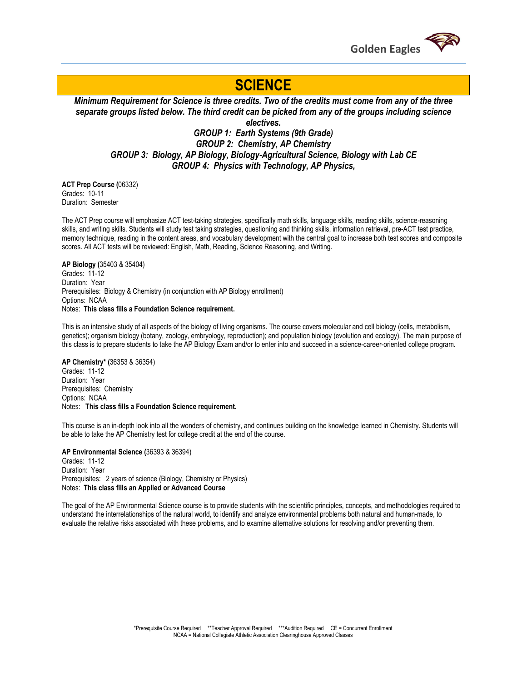

## **SCIENCE**

*Minimum Requirement for Science is three credits. Two of the credits must come from any of the three separate groups listed below. The third credit can be picked from any of the groups including science electives.*

*GROUP 1: Earth Systems (9th Grade) GROUP 2: Chemistry, AP Chemistry GROUP 3: Biology, AP Biology, Biology-Agricultural Science, Biology with Lab CE GROUP 4: Physics with Technology, AP Physics,*

**ACT Prep Course (**06332) Grades: 10-11 Duration: Semester

The ACT Prep course will emphasize ACT test-taking strategies, specifically math skills, language skills, reading skills, science-reasoning skills, and writing skills. Students will study test taking strategies, questioning and thinking skills, information retrieval, pre-ACT test practice, memory technique, reading in the content areas, and vocabulary development with the central goal to increase both test scores and composite scores. All ACT tests will be reviewed: English, Math, Reading, Science Reasoning, and Writing.

#### **AP Biology (**35403 & 35404)

Grades: 11-12 Duration: Year Prerequisites: Biology & Chemistry (in conjunction with AP Biology enrollment) Options: NCAA Notes: **This class fills a Foundation Science requirement.**

This is an intensive study of all aspects of the biology of living organisms. The course covers molecular and cell biology (cells, metabolism, genetics); organism biology (botany, zoology, embryology, reproduction); and population biology (evolution and ecology). The main purpose of this class is to prepare students to take the AP Biology Exam and/or to enter into and succeed in a science-career-oriented college program.

#### **AP Chemistry\* (**36353 & 36354)

Grades: 11-12 Duration: Year Prerequisites: Chemistry Options: NCAA Notes: **This class fills a Foundation Science requirement.** 

This course is an in-depth look into all the wonders of chemistry, and continues building on the knowledge learned in Chemistry. Students will be able to take the AP Chemistry test for college credit at the end of the course.

**AP Environmental Science (**36393 & 36394) Grades: 11-12 Duration: Year Prerequisites: 2 years of science (Biology, Chemistry or Physics) Notes: **This class fills an Applied or Advanced Course**

The goal of the AP Environmental Science course is to provide students with the scientific principles, concepts, and methodologies required to understand the interrelationships of the natural world, to identify and analyze environmental problems both natural and human-made, to evaluate the relative risks associated with these problems, and to examine alternative solutions for resolving and/or preventing them.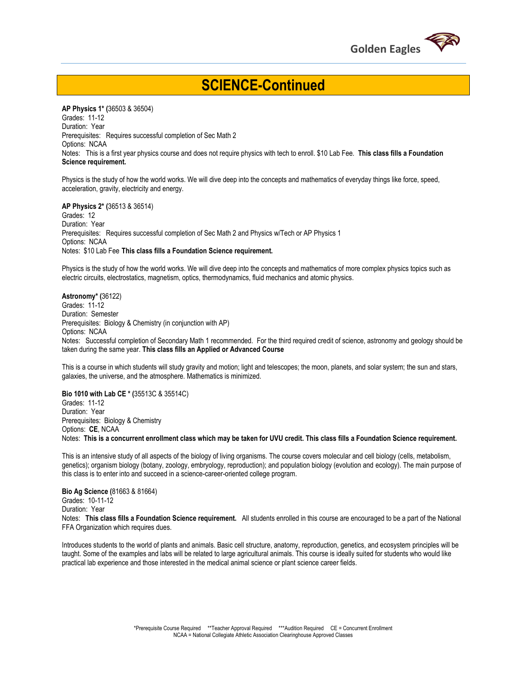

## **SCIENCE-Continued**

**AP Physics 1\* (**36503 & 36504) Grades: 11-12 Duration: Year Prerequisites: Requires successful completion of Sec Math 2 Options: NCAA Notes: This is a first year physics course and does not require physics with tech to enroll. \$10 Lab Fee. **This class fills a Foundation Science requirement.**

Physics is the study of how the world works. We will dive deep into the concepts and mathematics of everyday things like force, speed, acceleration, gravity, electricity and energy.

**AP Physics 2\* (**36513 & 36514)

Grades: 12 Duration: Year Prerequisites: Requires successful completion of Sec Math 2 and Physics w/Tech or AP Physics 1 Options: NCAA Notes: \$10 Lab Fee **This class fills a Foundation Science requirement.**

Physics is the study of how the world works. We will dive deep into the concepts and mathematics of more complex physics topics such as electric circuits, electrostatics, magnetism, optics, thermodynamics, fluid mechanics and atomic physics.

**Astronomy\* (**36122) Grades: 11-12 Duration: Semester Prerequisites: Biology & Chemistry (in conjunction with AP) Options: NCAA Notes: Successful completion of Secondary Math 1 recommended. For the third required credit of science, astronomy and geology should be taken during the same year. **This class fills an Applied or Advanced Course**

This is a course in which students will study gravity and motion; light and telescopes; the moon, planets, and solar system; the sun and stars, galaxies, the universe, and the atmosphere. Mathematics is minimized.

**Bio 1010 with Lab CE \* (**35513C & 35514C) Grades: 11-12 Duration: Year Prerequisites: Biology & Chemistry Options: **CE**, NCAA Notes: **This is a concurrent enrollment class which may be taken for UVU credit. This class fills a Foundation Science requirement.**

This is an intensive study of all aspects of the biology of living organisms. The course covers molecular and cell biology (cells, metabolism, genetics); organism biology (botany, zoology, embryology, reproduction); and population biology (evolution and ecology). The main purpose of this class is to enter into and succeed in a science-career-oriented college program.

**Bio Ag Science (**81663 & 81664) Grades: 10-11-12 Duration: Year Notes: **This class fills a Foundation Science requirement.** All students enrolled in this course are encouraged to be a part of the National FFA Organization which requires dues.

Introduces students to the world of plants and animals. Basic cell structure, anatomy, reproduction, genetics, and ecosystem principles will be taught. Some of the examples and labs will be related to large agricultural animals. This course is ideally suited for students who would like practical lab experience and those interested in the medical animal science or plant science career fields.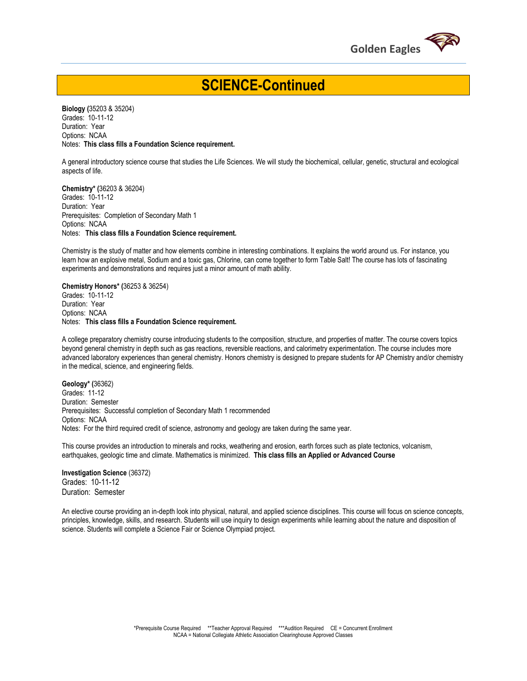

## **SCIENCE-Continued**

**Biology (**35203 & 35204) Grades: 10-11-12 Duration: Year Options: NCAA Notes: **This class fills a Foundation Science requirement.**

A general introductory science course that studies the Life Sciences. We will study the biochemical, cellular, genetic, structural and ecological aspects of life.

**Chemistry\* (**36203 & 36204) Grades: 10-11-12 Duration: Year Prerequisites: Completion of Secondary Math 1 Options: NCAA Notes: **This class fills a Foundation Science requirement.** 

Chemistry is the study of matter and how elements combine in interesting combinations. It explains the world around us. For instance, you learn how an explosive metal, Sodium and a toxic gas, Chlorine, can come together to form Table Salt! The course has lots of fascinating experiments and demonstrations and requires just a minor amount of math ability.

**Chemistry Honors\* (**36253 & 36254) Grades: 10-11-12 Duration: Year Options: NCAA Notes: **This class fills a Foundation Science requirement.** 

A college preparatory chemistry course introducing students to the composition, structure, and properties of matter. The course covers topics beyond general chemistry in depth such as gas reactions, reversible reactions, and calorimetry experimentation. The course includes more advanced laboratory experiences than general chemistry. Honors chemistry is designed to prepare students for AP Chemistry and/or chemistry in the medical, science, and engineering fields.

**Geology\* (**36362) Grades: 11-12 Duration: Semester Prerequisites: Successful completion of Secondary Math 1 recommended Options: NCAA Notes: For the third required credit of science, astronomy and geology are taken during the same year.

This course provides an introduction to minerals and rocks, weathering and erosion, earth forces such as plate tectonics, volcanism, earthquakes, geologic time and climate. Mathematics is minimized. **This class fills an Applied or Advanced Course**

**Investigation Science** (36372) Grades: 10-11-12 Duration: Semester

An elective course providing an in-depth look into physical, natural, and applied science disciplines. This course will focus on science concepts, principles, knowledge, skills, and research. Students will use inquiry to design experiments while learning about the nature and disposition of science. Students will complete a Science Fair or Science Olympiad project.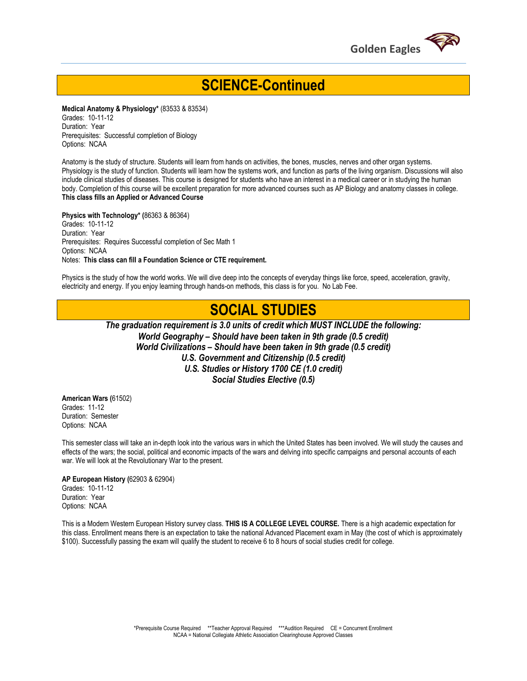

## **SCIENCE-Continued**

**Medical Anatomy & Physiology\*** (83533 & 83534) Grades: 10-11-12 Duration: Year Prerequisites: Successful completion of Biology Options: NCAA

Anatomy is the study of structure. Students will learn from hands on activities, the bones, muscles, nerves and other organ systems. Physiology is the study of function. Students will learn how the systems work, and function as parts of the living organism. Discussions will also include clinical studies of diseases. This course is designed for students who have an interest in a medical career or in studying the human body. Completion of this course will be excellent preparation for more advanced courses such as AP Biology and anatomy classes in college. **This class fills an Applied or Advanced Course**

**Physics with Technology\* (**86363 & 86364) Grades: 10-11-12 Duration: Year Prerequisites: Requires Successful completion of Sec Math 1 Options: NCAA Notes: **This class can fill a Foundation Science or CTE requirement.** 

Physics is the study of how the world works. We will dive deep into the concepts of everyday things like force, speed, acceleration, gravity, electricity and energy. If you enjoy learning through hands-on methods, this class is for you. No Lab Fee.

## **SOCIAL STUDIES**

*The graduation requirement is 3.0 units of credit which MUST INCLUDE the following: World Geography – Should have been taken in 9th grade (0.5 credit) World Civilizations – Should have been taken in 9th grade (0.5 credit) U.S. Government and Citizenship (0.5 credit) U.S. Studies or History 1700 CE (1.0 credit) Social Studies Elective (0.5)*

**American Wars (**61502) Grades: 11-12 Duration: Semester Options: NCAA

This semester class will take an in-depth look into the various wars in which the United States has been involved. We will study the causes and effects of the wars; the social, political and economic impacts of the wars and delving into specific campaigns and personal accounts of each war. We will look at the Revolutionary War to the present.

**AP European History (**62903 & 62904) Grades: 10-11-12 Duration: Year Options: NCAA

This is a Modern Western European History survey class. **THIS IS A COLLEGE LEVEL COURSE.** There is a high academic expectation for this class. Enrollment means there is an expectation to take the national Advanced Placement exam in May (the cost of which is approximately \$100). Successfully passing the exam will qualify the student to receive 6 to 8 hours of social studies credit for college.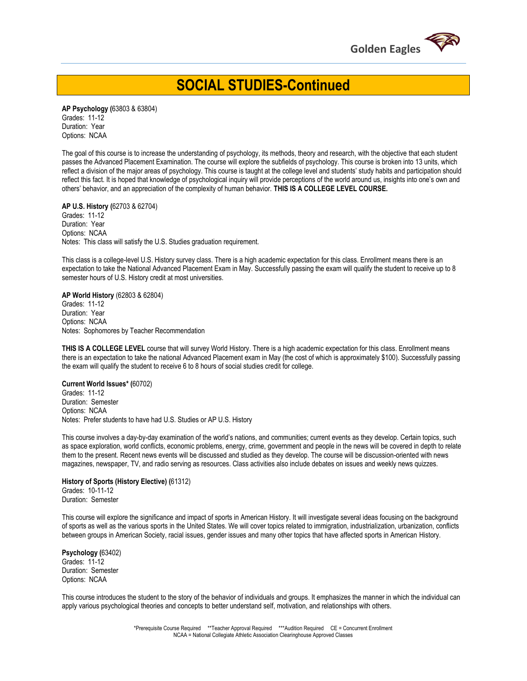

**SOCIAL STUDIES-Continued**

**AP Psychology (**63803 & 63804) Grades: 11-12 Duration: Year Options: NCAA

The goal of this course is to increase the understanding of psychology, its methods, theory and research, with the objective that each student passes the Advanced Placement Examination. The course will explore the subfields of psychology. This course is broken into 13 units, which reflect a division of the major areas of psychology. This course is taught at the college level and students' study habits and participation should reflect this fact. It is hoped that knowledge of psychological inquiry will provide perceptions of the world around us, insights into one's own and others' behavior, and an appreciation of the complexity of human behavior. **THIS IS A COLLEGE LEVEL COURSE.**

**AP U.S. History (**62703 & 62704) Grades: 11-12 Duration: Year Options: NCAA Notes: This class will satisfy the U.S. Studies graduation requirement.

This class is a college-level U.S. History survey class. There is a high academic expectation for this class. Enrollment means there is an expectation to take the National Advanced Placement Exam in May. Successfully passing the exam will qualify the student to receive up to 8 semester hours of U.S. History credit at most universities.

**AP World History** (62803 & 62804) Grades: 11-12 Duration: Year Options: NCAA Notes: Sophomores by Teacher Recommendation

**THIS IS A COLLEGE LEVEL** course that will survey World History. There is a high academic expectation for this class. Enrollment means there is an expectation to take the national Advanced Placement exam in May (the cost of which is approximately \$100). Successfully passing the exam will qualify the student to receive 6 to 8 hours of social studies credit for college.

**Current World Issues\* (**60702) Grades: 11-12 Duration: Semester Options: NCAA Notes: Prefer students to have had U.S. Studies or AP U.S. History

This course involves a day-by-day examination of the world's nations, and communities; current events as they develop. Certain topics, such as space exploration, world conflicts, economic problems, energy, crime, government and people in the news will be covered in depth to relate them to the present. Recent news events will be discussed and studied as they develop. The course will be discussion-oriented with news magazines, newspaper, TV, and radio serving as resources. Class activities also include debates on issues and weekly news quizzes.

#### **History of Sports (History Elective) (**61312) Grades: 10-11-12 Duration: Semester

This course will explore the significance and impact of sports in American History. It will investigate several ideas focusing on the background of sports as well as the various sports in the United States. We will cover topics related to immigration, industrialization, urbanization, conflicts between groups in American Society, racial issues, gender issues and many other topics that have affected sports in American History.

**Psychology (**63402) Grades: 11-12 Duration: Semester Options: NCAA

This course introduces the student to the story of the behavior of individuals and groups. It emphasizes the manner in which the individual can apply various psychological theories and concepts to better understand self, motivation, and relationships with others.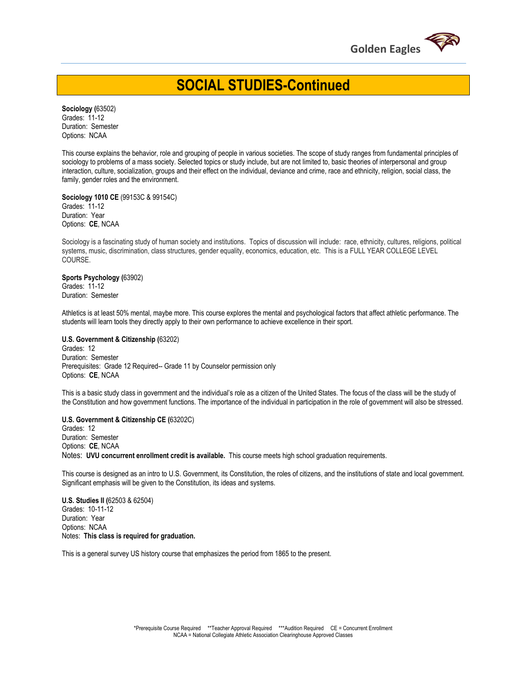

**SOCIAL STUDIES-Continued**

**Sociology (**63502) Grades: 11-12 Duration: Semester Options: NCAA

This course explains the behavior, role and grouping of people in various societies. The scope of study ranges from fundamental principles of sociology to problems of a mass society. Selected topics or study include, but are not limited to, basic theories of interpersonal and group interaction, culture, socialization, groups and their effect on the individual, deviance and crime, race and ethnicity, religion, social class, the family, gender roles and the environment.

**Sociology 1010 CE** (99153C & 99154C) Grades: 11-12 Duration: Year Options: **CE**, NCAA

Sociology is a fascinating study of human society and institutions. Topics of discussion will include: race, ethnicity, cultures, religions, political systems, music, discrimination, class structures, gender equality, economics, education, etc. This is a FULL YEAR COLLEGE LEVEL COURSE.

#### **Sports Psychology (**63902) Grades: 11-12

Duration: Semester

Athletics is at least 50% mental, maybe more. This course explores the mental and psychological factors that affect athletic performance. The students will learn tools they directly apply to their own performance to achieve excellence in their sport.

#### **U.S. Government & Citizenship (**63202)

Grades: 12 Duration: Semester Prerequisites: Grade 12 Required-- Grade 11 by Counselor permission only Options: **CE**, NCAA

This is a basic study class in government and the individual's role as a citizen of the United States. The focus of the class will be the study of the Constitution and how government functions. The importance of the individual in participation in the role of government will also be stressed.

#### **U.S. Government & Citizenship CE (**63202C)

Grades: 12 Duration: Semester Options: **CE**, NCAA Notes: **UVU concurrent enrollment credit is available.** This course meets high school graduation requirements.

This course is designed as an intro to U.S. Government, its Constitution, the roles of citizens, and the institutions of state and local government. Significant emphasis will be given to the Constitution, its ideas and systems.

**U.S. Studies II (**62503 & 62504) Grades: 10-11-12 Duration: Year Options: NCAA Notes: **This class is required for graduation.**

This is a general survey US history course that emphasizes the period from 1865 to the present.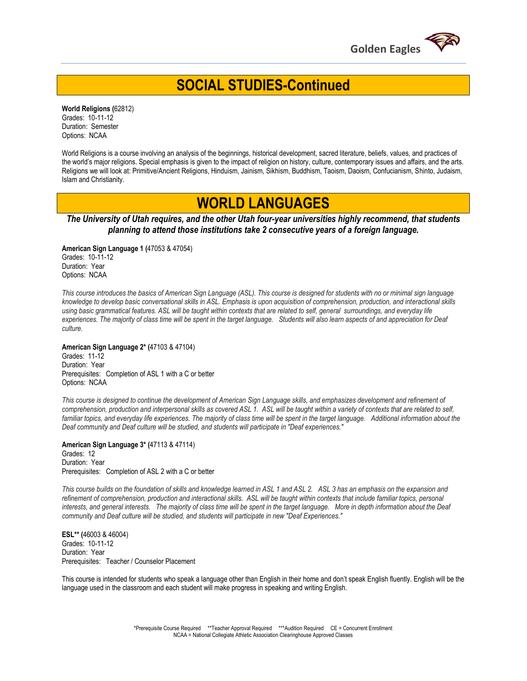

**SOCIAL STUDIES-Continued**

**World Religions (**62812) Grades: 10-11-12 Duration: Semester Options: NCAA

World Religions is a course involving an analysis of the beginnings, historical development, sacred literature, beliefs, values, and practices of the world's major religions. Special emphasis is given to the impact of religion on history, culture, contemporary issues and affairs, and the arts. Religions we will look at: Primitive/Ancient Religions, Hinduism, Jainism, Sikhism, Buddhism, Taoism, Daoism, Confucianism, Shinto, Judaism, Islam and Christianity.

## **WORLD LANGUAGES**

*The University of Utah requires, and the other Utah four-year universities highly recommend, that students planning to attend those institutions take 2 consecutive years of a foreign language.*

**American Sign Language 1 (**47053 & 47054) Grades: 10-11-12 Duration: Year Options: NCAA

*This course introduces the basics of American Sign Language (ASL). This course is designed for students with no or minimal sign language knowledge to develop basic conversational skills in ASL. Emphasis is upon acquisition of comprehension, production, and interactional skills using basic grammatical features. ASL will be taught within contexts that are related to self, general surroundings, and everyday life experiences. The majority of class time will be spent in the target language. Students will also learn aspects of and appreciation for Deaf culture.*

**American Sign Language 2\* (**47103 & 47104) Grades: 11-12 Duration: Year Prerequisites: Completion of ASL 1 with a C or better Options: NCAA

*This course is designed to continue the development of American Sign Language skills, and emphasizes development and refinement of comprehension, production and interpersonal skills as covered ASL 1. ASL will be taught within a variety of contexts that are related to self,*  familiar topics, and everyday life experiences. The majority of class time will be spent in the target language. Additional information about the *Deaf community and Deaf culture will be studied, and students will participate in "Deaf experiences."*

**American Sign Language 3\* (**47113 & 47114) Grades: 12 Duration: Year Prerequisites: Completion of ASL 2 with a C or better

*This course builds on the foundation of skills and knowledge learned in ASL 1 and ASL 2. ASL 3 has an emphasis on the expansion and refinement of comprehension, production and interactional skills. ASL will be taught within contexts that include familiar topics, personal interests, and general interests. The majority of class time will be spent in the target language. More in depth information about the Deaf community and Deaf culture will be studied, and students will participate in new "Deaf Experiences."*

**ESL\*\* (**46003 & 46004) Grades: 10-11-12 Duration: Year Prerequisites: Teacher / Counselor Placement

This course is intended for students who speak a language other than English in their home and don't speak English fluently. English will be the language used in the classroom and each student will make progress in speaking and writing English.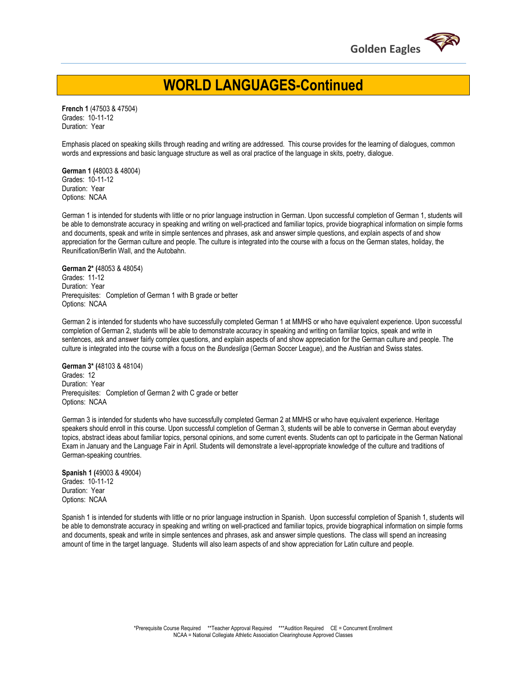

## **WORLD LANGUAGES-Continued**

**French 1** (47503 & 47504) Grades: 10-11-12 Duration: Year

Emphasis placed on speaking skills through reading and writing are addressed. This course provides for the learning of dialogues, common words and expressions and basic language structure as well as oral practice of the language in skits, poetry, dialogue.

**German 1 (**48003 & 48004) Grades: 10-11-12 Duration: Year Options: NCAA

German 1 is intended for students with little or no prior language instruction in German. Upon successful completion of German 1, students will be able to demonstrate accuracy in speaking and writing on well-practiced and familiar topics, provide biographical information on simple forms and documents, speak and write in simple sentences and phrases, ask and answer simple questions, and explain aspects of and show appreciation for the German culture and people. The culture is integrated into the course with a focus on the German states, holiday, the Reunification/Berlin Wall, and the Autobahn.

**German 2\* (**48053 & 48054) Grades: 11-12 Duration: Year Prerequisites: Completion of German 1 with B grade or better Options: NCAA

German 2 is intended for students who have successfully completed German 1 at MMHS or who have equivalent experience. Upon successful completion of German 2, students will be able to demonstrate accuracy in speaking and writing on familiar topics, speak and write in sentences, ask and answer fairly complex questions, and explain aspects of and show appreciation for the German culture and people. The culture is integrated into the course with a focus on the *Bundesliga* (German Soccer League), and the Austrian and Swiss states.

**German 3\* (**48103 & 48104) Grades: 12 Duration: Year Prerequisites: Completion of German 2 with C grade or better Options: NCAA

German 3 is intended for students who have successfully completed German 2 at MMHS or who have equivalent experience. Heritage speakers should enroll in this course. Upon successful completion of German 3, students will be able to converse in German about everyday topics, abstract ideas about familiar topics, personal opinions, and some current events. Students can opt to participate in the German National Exam in January and the Language Fair in April. Students will demonstrate a level-appropriate knowledge of the culture and traditions of German-speaking countries.

**Spanish 1 (**49003 & 49004) Grades: 10-11-12 Duration: Year Options: NCAA

Spanish 1 is intended for students with little or no prior language instruction in Spanish. Upon successful completion of Spanish 1, students will be able to demonstrate accuracy in speaking and writing on well-practiced and familiar topics, provide biographical information on simple forms and documents, speak and write in simple sentences and phrases, ask and answer simple questions. The class will spend an increasing amount of time in the target language. Students will also learn aspects of and show appreciation for Latin culture and people.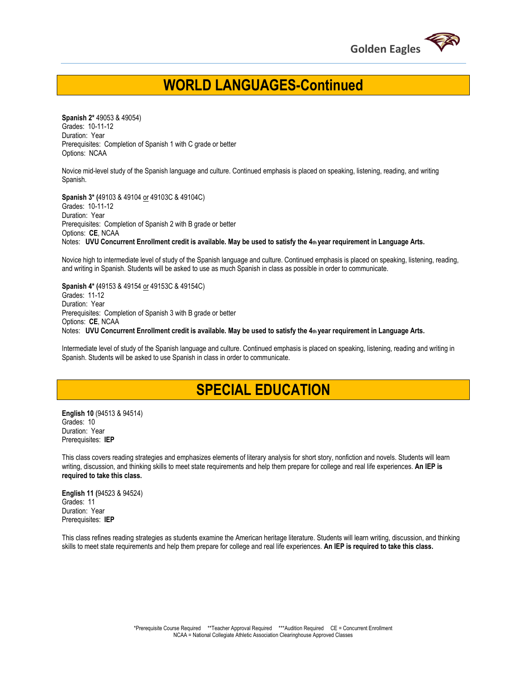

## **WORLD LANGUAGES-Continued**

**Spanish 2\*** 49053 & 49054) Grades: 10-11-12 Duration: Year Prerequisites: Completion of Spanish 1 with C grade or better Options: NCAA

Novice mid-level study of the Spanish language and culture. Continued emphasis is placed on speaking, listening, reading, and writing Spanish.

**Spanish 3\* (**49103 & 49104 or 49103C & 49104C) Grades: 10-11-12 Duration: Year Prerequisites: Completion of Spanish 2 with B grade or better Options: **CE**, NCAA Notes: **UVU Concurrent Enrollment credit is available. May be used to satisfy the 4th year requirement in Language Arts.** 

Novice high to intermediate level of study of the Spanish language and culture. Continued emphasis is placed on speaking, listening, reading, and writing in Spanish. Students will be asked to use as much Spanish in class as possible in order to communicate.

**Spanish 4\* (**49153 & 49154 or 49153C & 49154C) Grades: 11-12 Duration: Year Prerequisites: Completion of Spanish 3 with B grade or better Options: **CE**, NCAA Notes: **UVU Concurrent Enrollment credit is available. May be used to satisfy the 4th year requirement in Language Arts.** 

Intermediate level of study of the Spanish language and culture. Continued emphasis is placed on speaking, listening, reading and writing in Spanish. Students will be asked to use Spanish in class in order to communicate.

## **SPECIAL EDUCATION**

**English 10** (94513 & 94514) Grades: 10 Duration: Year Prerequisites: **IEP**

This class covers reading strategies and emphasizes elements of literary analysis for short story, nonfiction and novels. Students will learn writing, discussion, and thinking skills to meet state requirements and help them prepare for college and real life experiences. **An IEP is required to take this class.** 

**English 11 (**94523 & 94524) Grades: 11 Duration: Year Prerequisites: **IEP**

This class refines reading strategies as students examine the American heritage literature. Students will learn writing, discussion, and thinking skills to meet state requirements and help them prepare for college and real life experiences. **An IEP is required to take this class.**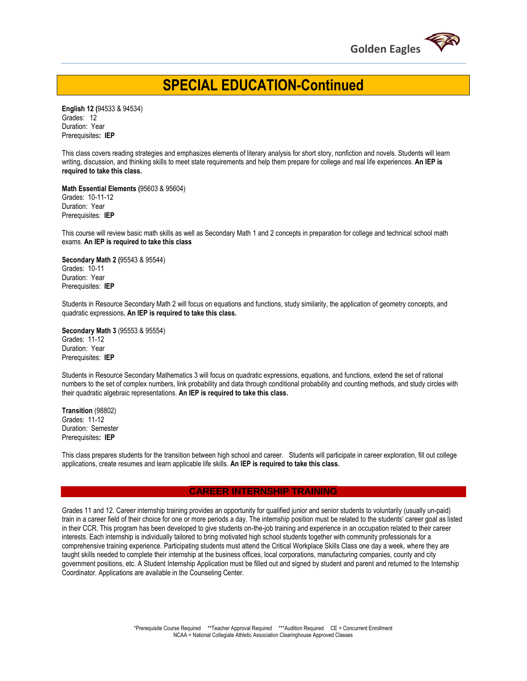

## **SPECIAL EDUCATION-Continued**

**English 12 (**94533 & 94534) Grades: 12 Duration: Year Prerequisites**: IEP**

This class covers reading strategies and emphasizes elements of literary analysis for short story, nonfiction and novels. Students will learn writing, discussion, and thinking skills to meet state requirements and help them prepare for college and real life experiences. **An IEP is required to take this class.** 

**Math Essential Elements (**95603 & 95604) Grades: 10-11-12 Duration: Year Prerequisites: **IEP**

This course will review basic math skills as well as Secondary Math 1 and 2 concepts in preparation for college and technical school math exams. **An IEP is required to take this class** 

**Secondary Math 2 (**95543 & 95544) Grades: 10-11 Duration: Year Prerequisites: **IEP**

Students in Resource Secondary Math 2 will focus on equations and functions, study similarity, the application of geometry concepts, and quadratic expressions**. An IEP is required to take this class.** 

**Secondary Math 3** (95553 & 95554) Grades: 11-12 Duration: Year Prerequisites: **IEP**

Students in Resource Secondary Mathematics 3 will focus on quadratic expressions, equations, and functions, extend the set of rational numbers to the set of complex numbers, link probability and data through conditional probability and counting methods, and study circles with their quadratic algebraic representations. **An IEP is required to take this class.** 

**Transition** (98802) Grades: 11-12 Duration: Semester Prerequisites**: IEP**

This class prepares students for the transition between high school and career. Students will participate in career exploration, fill out college applications, create resumes and learn applicable life skills. **An IEP is required to take this class.** 

#### **CAREER INTERNSHIP TRAINING**

Grades 11 and 12. Career internship training provides an opportunity for qualified junior and senior students to voluntarily (usually un-paid) train in a career field of their choice for one or more periods a day. The internship position must be related to the students' career goal as listed in their CCR. This program has been developed to give students on-the-job training and experience in an occupation related to their career interests. Each internship is individually tailored to bring motivated high school students together with community professionals for a comprehensive training experience. Participating students must attend the Critical Workplace Skills Class one day a week, where they are taught skills needed to complete their internship at the business offices, local corporations, manufacturing companies, county and city government positions, etc. A Student Internship Application must be filled out and signed by student and parent and returned to the Internship Coordinator. Applications are available in the Counseling Center.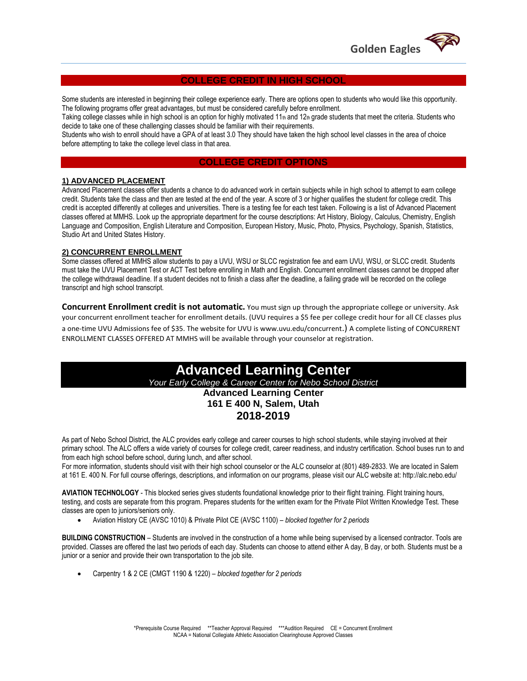

#### **COLLEGE CREDIT IN HIGH SCHOOL**

Some students are interested in beginning their college experience early. There are options open to students who would like this opportunity. The following programs offer great advantages, but must be considered carefully before enrollment.

Taking college classes while in high school is an option for highly motivated 11<sup>th</sup> and 12<sup>th</sup> grade students that meet the criteria. Students who decide to take one of these challenging classes should be familiar with their requirements.

Students who wish to enroll should have a GPA of at least 3.0 They should have taken the high school level classes in the area of choice before attempting to take the college level class in that area.

#### **COLLEGE CREDIT OPTIONS**

#### **1) ADVANCED PLACEMENT**

Advanced Placement classes offer students a chance to do advanced work in certain subjects while in high school to attempt to earn college credit. Students take the class and then are tested at the end of the year. A score of 3 or higher qualifies the student for college credit. This credit is accepted differently at colleges and universities. There is a testing fee for each test taken. Following is a list of Advanced Placement classes offered at MMHS. Look up the appropriate department for the course descriptions: Art History, Biology, Calculus, Chemistry, English Language and Composition, English Literature and Composition, European History, Music, Photo, Physics, Psychology, Spanish, Statistics, Studio Art and United States History.

### **2) CONCURRENT ENROLLMENT**

Some classes offered at MMHS allow students to pay a UVU, WSU or SLCC registration fee and earn UVU, WSU, or SLCC credit. Students must take the UVU Placement Test or ACT Test before enrolling in Math and English. Concurrent enrollment classes cannot be dropped after the college withdrawal deadline. If a student decides not to finish a class after the deadline, a failing grade will be recorded on the college transcript and high school transcript.

**Concurrent Enrollment credit is not automatic.** You must sign up through the appropriate college or university. Ask your concurrent enrollment teacher for enrollment details. (UVU requires a \$5 fee per college credit hour for all CE classes plus a one-time UVU Admissions fee of \$35. The website for UVU is www.uvu.edu/concurrent.) A complete listing of CONCURRENT ENROLLMENT CLASSES OFFERED AT MMHS will be available through your counselor at registration.

### **Advanced Learning Center** *Your Early College & Career Center for Nebo School District* **Advanced Learning Center 161 E 400 N, Salem, Utah 2018-2019**

As part of Nebo School District, the ALC provides early college and career courses to high school students, while staying involved at their primary school. The ALC offers a wide variety of courses for college credit, career readiness, and industry certification. School buses run to and from each high school before school, during lunch, and after school.

For more information, students should visit with their high school counselor or the ALC counselor at (801) 489-2833. We are located in Salem at 161 E. 400 N. For full course offerings, descriptions, and information on our programs, please visit our ALC website at: http://alc.nebo.edu/

**AVIATION TECHNOLOGY** - This blocked series gives students foundational knowledge prior to their flight training. Flight training hours, testing, and costs are separate from this program. Prepares students for the written exam for the Private Pilot Written Knowledge Test. These classes are open to juniors/seniors only.

Aviation History CE (AVSC 1010) & Private Pilot CE (AVSC 1100) – *blocked together for 2 periods* 

**BUILDING CONSTRUCTION** – Students are involved in the construction of a home while being supervised by a licensed contractor. Tools are provided. Classes are offered the last two periods of each day. Students can choose to attend either A day, B day, or both. Students must be a junior or a senior and provide their own transportation to the job site.

Carpentry 1 & 2 CE (CMGT 1190 & 1220) – *blocked together for 2 periods*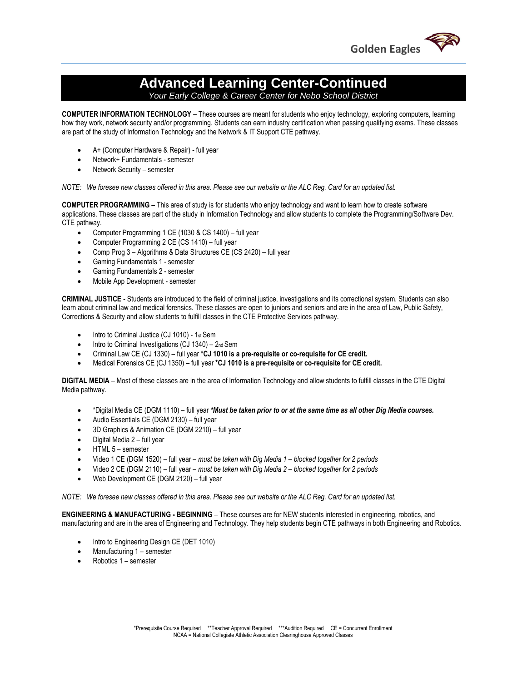

## **Advanced Learning Center-Continued**

*Your Early College & Career Center for Nebo School District*

**COMPUTER INFORMATION TECHNOLOGY** – These courses are meant for students who enjoy technology, exploring computers, learning how they work, network security and/or programming. Students can earn industry certification when passing qualifying exams. These classes are part of the study of Information Technology and the Network & IT Support CTE pathway.

- A+ (Computer Hardware & Repair) full year
- Network+ Fundamentals semester
- Network Security semester

*NOTE: We foresee new classes offered in this area. Please see our website or the ALC Reg. Card for an updated list.* 

**COMPUTER PROGRAMMING –** This area of study is for students who enjoy technology and want to learn how to create software applications. These classes are part of the study in Information Technology and allow students to complete the Programming/Software Dev. CTE pathway.

- Computer Programming 1 CE (1030 & CS 1400) full year
- Computer Programming 2 CE (CS 1410) full year
- Comp Prog 3 Algorithms & Data Structures CE (CS 2420) full year
- Gaming Fundamentals 1 semester
- Gaming Fundamentals 2 semester
- Mobile App Development semester

**CRIMINAL JUSTICE** - Students are introduced to the field of criminal justice, investigations and its correctional system. Students can also learn about criminal law and medical forensics. These classes are open to juniors and seniors and are in the area of Law, Public Safety, Corrections & Security and allow students to fulfill classes in the CTE Protective Services pathway.

- Intro to Criminal Justice (CJ 1010) 1st Sem
- $\bullet$  Intro to Criminal Investigations (CJ 1340) 2nd Sem
- Criminal Law CE (CJ 1330) full year **\*CJ 1010 is a pre-requisite or co-requisite for CE credit.**
- Medical Forensics CE (CJ 1350) full year **\*CJ 1010 is a pre-requisite or co-requisite for CE credit.**

**DIGITAL MEDIA** – Most of these classes are in the area of Information Technology and allow students to fulfill classes in the CTE Digital Media pathway.

- \*Digital Media CE (DGM 1110) full year *\*Must be taken prior to or at the same time as all other Dig Media courses.*
- Audio Essentials CE (DGM 2130) full year
- 3D Graphics & Animation CE (DGM 2210) full year
- Digital Media 2 full year
- HTML 5 semester
- Video 1 CE (DGM 1520) full year *must be taken with Dig Media 1 – blocked together for 2 periods*
- Video 2 CE (DGM 2110) full year *must be taken with Dig Media 2 – blocked together for 2 periods*
- Web Development CE (DGM 2120) full year

*NOTE: We foresee new classes offered in this area. Please see our website or the ALC Reg. Card for an updated list.* 

**ENGINEERING & MANUFACTURING - BEGINNING** – These courses are for NEW students interested in engineering, robotics, and manufacturing and are in the area of Engineering and Technology. They help students begin CTE pathways in both Engineering and Robotics.

- Intro to Engineering Design CE (DET 1010)
- Manufacturing 1 semester
- Robotics 1 semester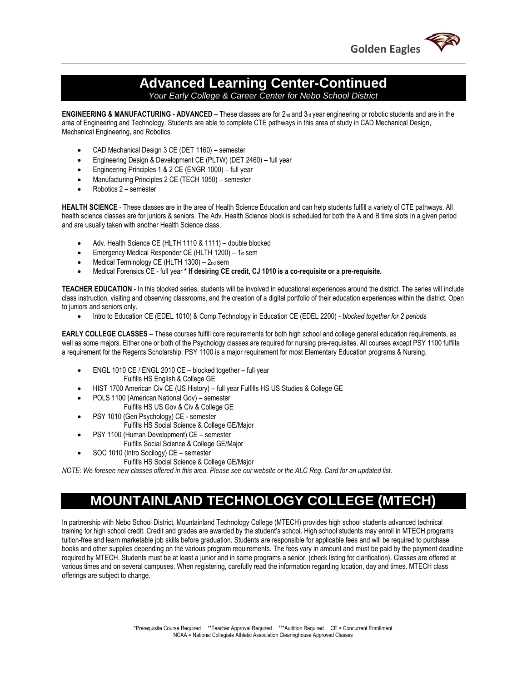

# **Advanced Learning Center-Continued**

*Your Early College & Career Center for Nebo School District*

**ENGINEERING & MANUFACTURING - ADVANCED** – These classes are for 2<sub>nd</sub> and 3<sub>rd</sub> year engineering or robotic students and are in the area of Engineering and Technology. Students are able to complete CTE pathways in this area of study in CAD Mechanical Design, Mechanical Engineering, and Robotics.

- CAD Mechanical Design 3 CE (DET 1160) semester
- Engineering Design & Development CE (PLTW) (DET 2460) full year
- Engineering Principles 1 & 2 CE (ENGR 1000) full year
- Manufacturing Principles 2 CE (TECH 1050) semester
- Robotics 2 semester

**HEALTH SCIENCE** - These classes are in the area of Health Science Education and can help students fulfill a variety of CTE pathways. All health science classes are for juniors & seniors. The Adv. Health Science block is scheduled for both the A and B time slots in a given period and are usually taken with another Health Science class.

- Adv. Health Science CE (HLTH 1110 & 1111) double blocked
- **Emergency Medical Responder CE (HLTH 1200)** 1st sem
- Medical Terminology CE (HLTH 1300) 2nd sem
- Medical Forensics CE full year **\* If desiring CE credit, CJ 1010 is a co-requisite or a pre-requisite.**

**TEACHER EDUCATION** - In this blocked series, students will be involved in educational experiences around the district. The series will include class instruction, visiting and observing classrooms, and the creation of a digital portfolio of their education experiences within the district. Open to juniors and seniors only.

Intro to Education CE (EDEL 1010) & Comp Technology in Education CE (EDEL 2200) - *blocked together for 2 periods* 

**EARLY COLLEGE CLASSES** – These courses fulfill core requirements for both high school and college general education requirements, as well as some majors. Either one or both of the Psychology classes are required for nursing pre-requisites. All courses except PSY 1100 fulfills a requirement for the Regents Scholarship. PSY 1100 is a major requirement for most Elementary Education programs & Nursing.

- ENGL 1010 CE / ENGL 2010 CE blocked together full year Fulfills HS English & College GE
- HIST 1700 American Civ CE (US History) full year Fulfills HS US Studies & College GE
- POLS 1100 (American National Gov) semester
	- Fulfills HS US Gov & Civ & College GE
- PSY 1010 (Gen Psychology) CE semester Fulfills HS Social Science & College GE/Major
	- PSY 1100 (Human Development) CE semester
	- Fulfills Social Science & College GE/Major
- SOC 1010 (Intro Socilogy) CE semester
	- Fulfills HS Social Science & College GE/Major

*NOTE: We foresee new classes offered in this area. Please see our website or the ALC Reg. Card for an updated list.* 

## **MOUNTAINLAND TECHNOLOGY COLLEGE (MTECH)**

In partnership with Nebo School District, Mountainland Technology College (MTECH) provides high school students advanced technical training for high school credit. Credit and grades are awarded by the student's school. High school students may enroll in MTECH programs tuition-free and learn marketable job skills before graduation. Students are responsible for applicable fees and will be required to purchase books and other supplies depending on the various program requirements. The fees vary in amount and must be paid by the payment deadline required by MTECH. Students must be at least a junior and in some programs a senior, (check listing for clarification). Classes are offered at various times and on several campuses. When registering, carefully read the information regarding location, day and times. MTECH class offerings are subject to change.